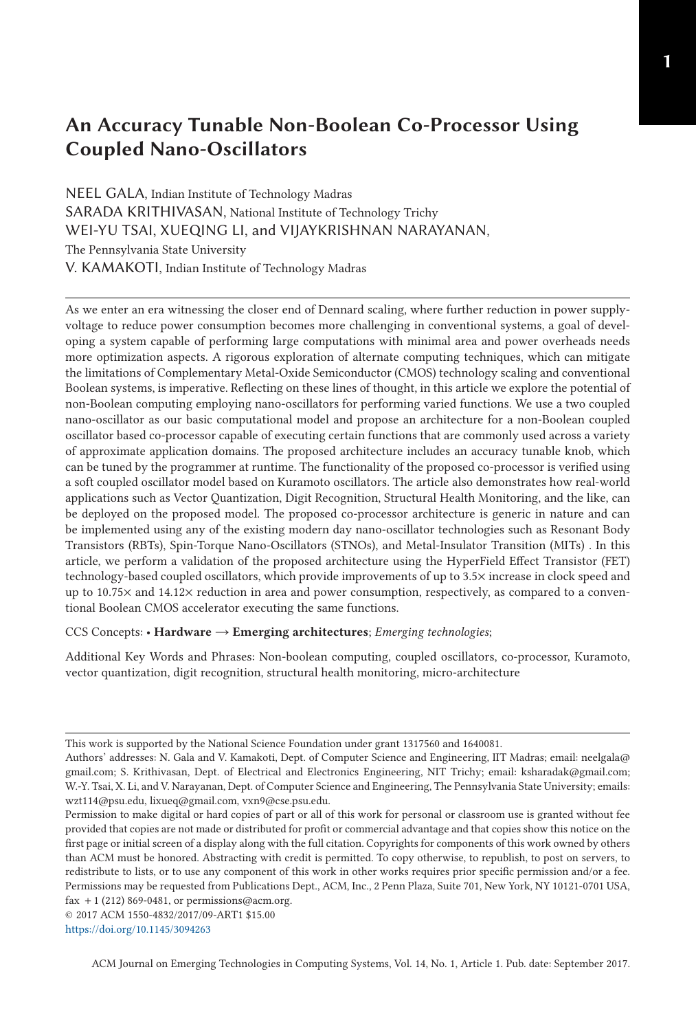# An Accuracy Tunable Non-Boolean Co-Processor Using Coupled Nano-Oscillators

NEEL GALA, Indian Institute of Technology Madras SARADA KRITHIVASAN, National Institute of Technology Trichy WEI-YU TSAI, XUEQING LI, and VIJAYKRISHNAN NARAYANAN, The Pennsylvania State University V. KAMAKOTI, Indian Institute of Technology Madras

As we enter an era witnessing the closer end of Dennard scaling, where further reduction in power supplyvoltage to reduce power consumption becomes more challenging in conventional systems, a goal of developing a system capable of performing large computations with minimal area and power overheads needs more optimization aspects. A rigorous exploration of alternate computing techniques, which can mitigate the limitations of Complementary Metal-Oxide Semiconductor (CMOS) technology scaling and conventional Boolean systems, is imperative. Reflecting on these lines of thought, in this article we explore the potential of non-Boolean computing employing nano-oscillators for performing varied functions. We use a two coupled nano-oscillator as our basic computational model and propose an architecture for a non-Boolean coupled oscillator based co-processor capable of executing certain functions that are commonly used across a variety of approximate application domains. The proposed architecture includes an accuracy tunable knob, which can be tuned by the programmer at runtime. The functionality of the proposed co-processor is verified using a soft coupled oscillator model based on Kuramoto oscillators. The article also demonstrates how real-world applications such as Vector Quantization, Digit Recognition, Structural Health Monitoring, and the like, can be deployed on the proposed model. The proposed co-processor architecture is generic in nature and can be implemented using any of the existing modern day nano-oscillator technologies such as Resonant Body Transistors (RBTs), Spin-Torque Nano-Oscillators (STNOs), and Metal-Insulator Transition (MITs) . In this article, we perform a validation of the proposed architecture using the HyperField Effect Transistor (FET) technology-based coupled oscillators, which provide improvements of up to 3.5× increase in clock speed and up to 10.75× and 14.12× reduction in area and power consumption, respectively, as compared to a conventional Boolean CMOS accelerator executing the same functions.

CCS Concepts: • Hardware → Emerging architectures; Emerging technologies;

Additional Key Words and Phrases: Non-boolean computing, coupled oscillators, co-processor, Kuramoto, vector quantization, digit recognition, structural health monitoring, micro-architecture

© 2017 ACM 1550-4832/2017/09-ART1 \$15.00

https://doi.org/10.1145/3094263

This work is supported by the National Science Foundation under grant 1317560 and 1640081.

Authors' addresses: N. Gala and V. Kamakoti, Dept. of Computer Science and Engineering, IIT Madras; email: neelgala@ gmail.com; S. Krithivasan, Dept. of Electrical and Electronics Engineering, NIT Trichy; email: ksharadak@gmail.com; W.-Y. Tsai, X. Li, and V. Narayanan, Dept. of Computer Science and Engineering, The Pennsylvania State University; emails: wzt114@psu.edu, lixueq@gmail.com, vxn9@cse.psu.edu.

Permission to make digital or hard copies of part or all of this work for personal or classroom use is granted without fee provided that copies are not made or distributed for profit or commercial advantage and that copies show this notice on the first page or initial screen of a display along with the full citation. Copyrights for components of this work owned by others than ACM must be honored. Abstracting with credit is permitted. To copy otherwise, to republish, to post on servers, to redistribute to lists, or to use any component of this work in other works requires prior specific permission and/or a fee. Permissions may be requested from Publications Dept., ACM, Inc., 2 Penn Plaza, Suite 701, New York, NY 10121-0701 USA, fax  $+1$  (212) 869-0481, or permissions@acm.org.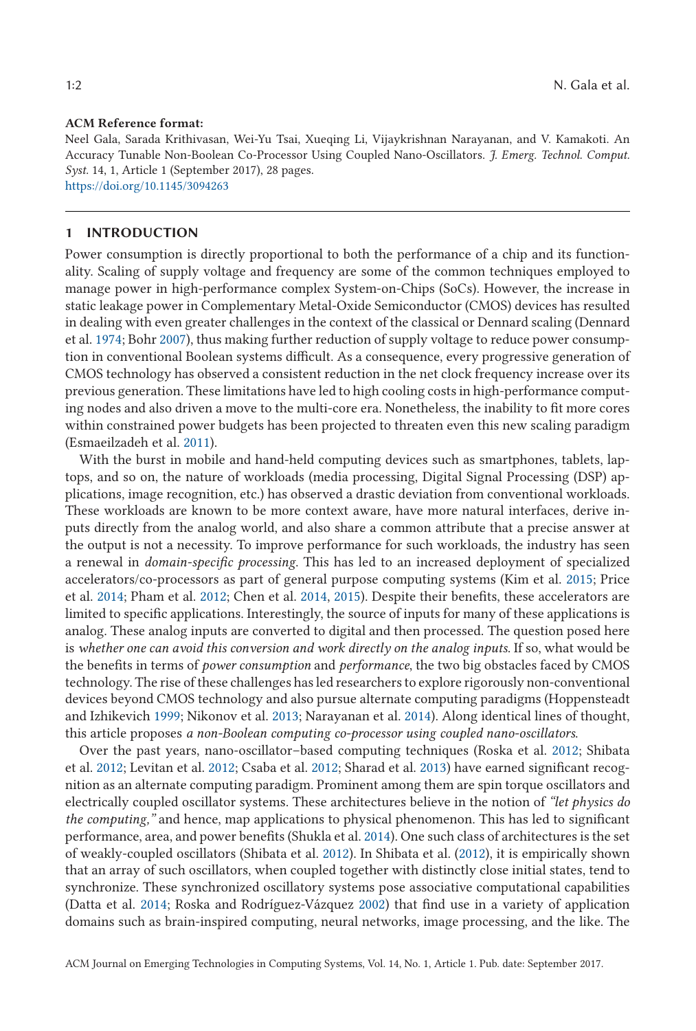### ACM Reference format:

Neel Gala, Sarada Krithivasan, Wei-Yu Tsai, Xueqing Li, Vijaykrishnan Narayanan, and V. Kamakoti. An Accuracy Tunable Non-Boolean Co-Processor Using Coupled Nano-Oscillators. J. Emerg. Technol. Comput. Syst. 14, 1, Article 1 (September 2017), 28 pages. https://doi.org/10.1145/3094263

# 1 INTRODUCTION

Power consumption is directly proportional to both the performance of a chip and its functionality. Scaling of supply voltage and frequency are some of the common techniques employed to manage power in high-performance complex System-on-Chips (SoCs). However, the increase in static leakage power in Complementary Metal-Oxide Semiconductor (CMOS) devices has resulted in dealing with even greater challenges in the context of the classical or Dennard scaling (Dennard et al. 1974; Bohr 2007), thus making further reduction of supply voltage to reduce power consumption in conventional Boolean systems difficult. As a consequence, every progressive generation of CMOS technology has observed a consistent reduction in the net clock frequency increase over its previous generation. These limitations have led to high cooling costs in high-performance computing nodes and also driven a move to the multi-core era. Nonetheless, the inability to fit more cores within constrained power budgets has been projected to threaten even this new scaling paradigm (Esmaeilzadeh et al. 2011).

With the burst in mobile and hand-held computing devices such as smartphones, tablets, laptops, and so on, the nature of workloads (media processing, Digital Signal Processing (DSP) applications, image recognition, etc.) has observed a drastic deviation from conventional workloads. These workloads are known to be more context aware, have more natural interfaces, derive inputs directly from the analog world, and also share a common attribute that a precise answer at the output is not a necessity. To improve performance for such workloads, the industry has seen a renewal in domain-specific processing. This has led to an increased deployment of specialized accelerators/co-processors as part of general purpose computing systems (Kim et al. 2015; Price et al. 2014; Pham et al. 2012; Chen et al. 2014, 2015). Despite their benefits, these accelerators are limited to specific applications. Interestingly, the source of inputs for many of these applications is analog. These analog inputs are converted to digital and then processed. The question posed here is whether one can avoid this conversion and work directly on the analog inputs. If so, what would be the benefits in terms of power consumption and performance, the two big obstacles faced by CMOS technology. The rise of these challenges has led researchers to explore rigorously non-conventional devices beyond CMOS technology and also pursue alternate computing paradigms (Hoppensteadt and Izhikevich 1999; Nikonov et al. 2013; Narayanan et al. 2014). Along identical lines of thought, this article proposes a non-Boolean computing co-processor using coupled nano-oscillators.

Over the past years, nano-oscillator–based computing techniques (Roska et al. 2012; Shibata et al. 2012; Levitan et al. 2012; Csaba et al. 2012; Sharad et al. 2013) have earned significant recognition as an alternate computing paradigm. Prominent among them are spin torque oscillators and electrically coupled oscillator systems. These architectures believe in the notion of "let physics do the computing," and hence, map applications to physical phenomenon. This has led to significant performance, area, and power benefits (Shukla et al. 2014). One such class of architectures is the set of weakly-coupled oscillators (Shibata et al. 2012). In Shibata et al. (2012), it is empirically shown that an array of such oscillators, when coupled together with distinctly close initial states, tend to synchronize. These synchronized oscillatory systems pose associative computational capabilities (Datta et al. 2014; Roska and Rodríguez-Vázquez 2002) that find use in a variety of application domains such as brain-inspired computing, neural networks, image processing, and the like. The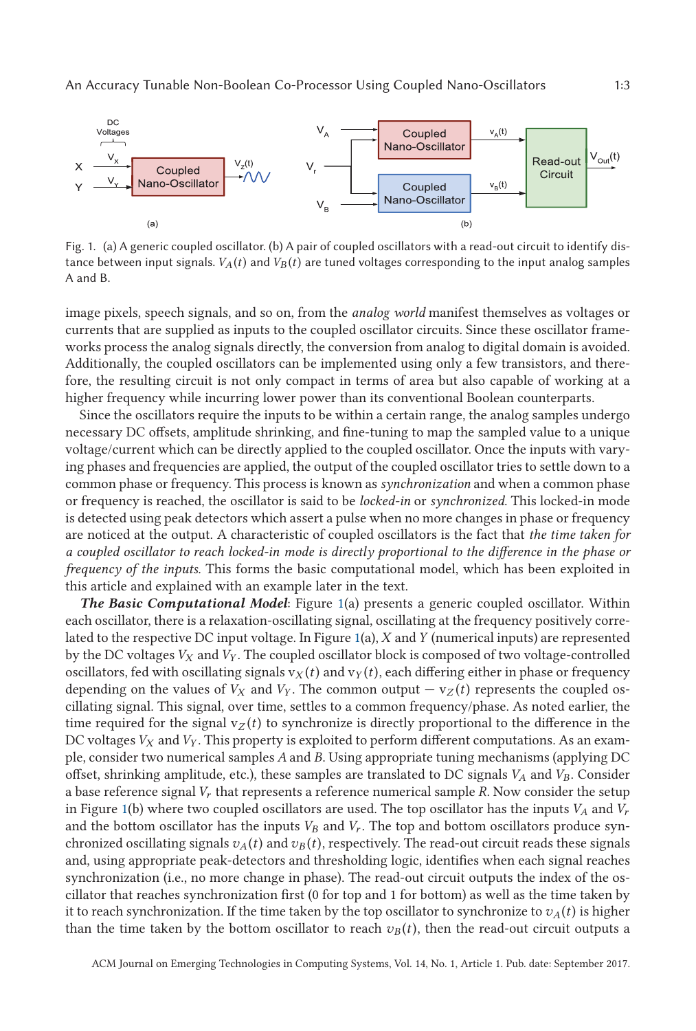

Fig. 1. (a) A generic coupled oscillator. (b) A pair of coupled oscillators with a read-out circuit to identify distance between input signals.  $V_A(t)$  and  $V_B(t)$  are tuned voltages corresponding to the input analog samples A and B.

image pixels, speech signals, and so on, from the analog world manifest themselves as voltages or currents that are supplied as inputs to the coupled oscillator circuits. Since these oscillator frameworks process the analog signals directly, the conversion from analog to digital domain is avoided. Additionally, the coupled oscillators can be implemented using only a few transistors, and therefore, the resulting circuit is not only compact in terms of area but also capable of working at a higher frequency while incurring lower power than its conventional Boolean counterparts.

Since the oscillators require the inputs to be within a certain range, the analog samples undergo necessary DC offsets, amplitude shrinking, and fine-tuning to map the sampled value to a unique voltage/current which can be directly applied to the coupled oscillator. Once the inputs with varying phases and frequencies are applied, the output of the coupled oscillator tries to settle down to a common phase or frequency. This process is known as synchronization and when a common phase or frequency is reached, the oscillator is said to be locked-in or synchronized. This locked-in mode is detected using peak detectors which assert a pulse when no more changes in phase or frequency are noticed at the output. A characteristic of coupled oscillators is the fact that the time taken for a coupled oscillator to reach locked-in mode is directly proportional to the difference in the phase or frequency of the inputs. This forms the basic computational model, which has been exploited in this article and explained with an example later in the text.

The Basic Computational Model: Figure 1(a) presents a generic coupled oscillator. Within each oscillator, there is a relaxation-oscillating signal, oscillating at the frequency positively correlated to the respective DC input voltage. In Figure 1(a),  $X$  and  $Y$  (numerical inputs) are represented by the DC voltages  $V_X$  and  $V_Y$ . The coupled oscillator block is composed of two voltage-controlled oscillators, fed with oscillating signals  $v_X(t)$  and  $v_Y(t)$ , each differing either in phase or frequency depending on the values of  $V_X$  and  $V_Y$ . The common output  $-v_Z(t)$  represents the coupled oscillating signal. This signal, over time, settles to a common frequency/phase. As noted earlier, the time required for the signal  $v_Z(t)$  to synchronize is directly proportional to the difference in the DC voltages  $V_X$  and  $V_Y$ . This property is exploited to perform different computations. As an example, consider two numerical samples A and B. Using appropriate tuning mechanisms (applying DC offset, shrinking amplitude, etc.), these samples are translated to DC signals  $V_A$  and  $V_B$ . Consider a base reference signal  $V_r$  that represents a reference numerical sample  $R$ . Now consider the setup in Figure 1(b) where two coupled oscillators are used. The top oscillator has the inputs  $V_A$  and  $V_r$ and the bottom oscillator has the inputs  $V_B$  and  $V_r$ . The top and bottom oscillators produce synchronized oscillating signals  $v_A(t)$  and  $v_B(t)$ , respectively. The read-out circuit reads these signals and, using appropriate peak-detectors and thresholding logic, identifies when each signal reaches synchronization (i.e., no more change in phase). The read-out circuit outputs the index of the oscillator that reaches synchronization first (0 for top and 1 for bottom) as well as the time taken by it to reach synchronization. If the time taken by the top oscillator to synchronize to  $v_A(t)$  is higher than the time taken by the bottom oscillator to reach  $v_B(t)$ , then the read-out circuit outputs a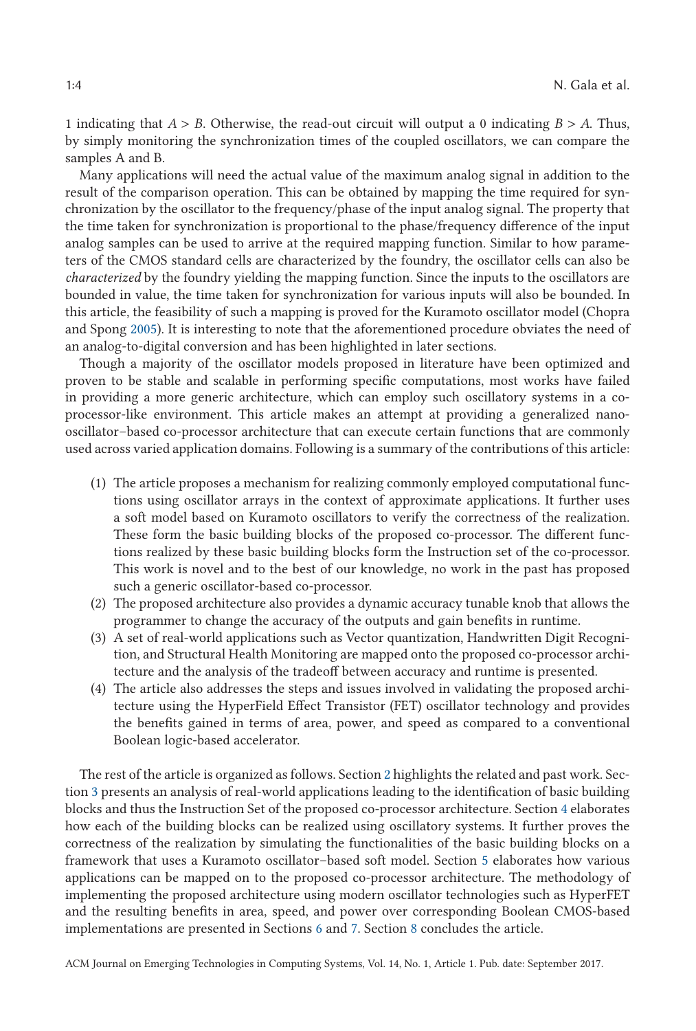1 indicating that  $A > B$ . Otherwise, the read-out circuit will output a 0 indicating  $B > A$ . Thus, by simply monitoring the synchronization times of the coupled oscillators, we can compare the samples A and B.

Many applications will need the actual value of the maximum analog signal in addition to the result of the comparison operation. This can be obtained by mapping the time required for synchronization by the oscillator to the frequency/phase of the input analog signal. The property that the time taken for synchronization is proportional to the phase/frequency difference of the input analog samples can be used to arrive at the required mapping function. Similar to how parameters of the CMOS standard cells are characterized by the foundry, the oscillator cells can also be characterized by the foundry yielding the mapping function. Since the inputs to the oscillators are bounded in value, the time taken for synchronization for various inputs will also be bounded. In this article, the feasibility of such a mapping is proved for the Kuramoto oscillator model (Chopra and Spong 2005). It is interesting to note that the aforementioned procedure obviates the need of an analog-to-digital conversion and has been highlighted in later sections.

Though a majority of the oscillator models proposed in literature have been optimized and proven to be stable and scalable in performing specific computations, most works have failed in providing a more generic architecture, which can employ such oscillatory systems in a coprocessor-like environment. This article makes an attempt at providing a generalized nanooscillator–based co-processor architecture that can execute certain functions that are commonly used across varied application domains. Following is a summary of the contributions of this article:

- (1) The article proposes a mechanism for realizing commonly employed computational functions using oscillator arrays in the context of approximate applications. It further uses a soft model based on Kuramoto oscillators to verify the correctness of the realization. These form the basic building blocks of the proposed co-processor. The different functions realized by these basic building blocks form the Instruction set of the co-processor. This work is novel and to the best of our knowledge, no work in the past has proposed such a generic oscillator-based co-processor.
- (2) The proposed architecture also provides a dynamic accuracy tunable knob that allows the programmer to change the accuracy of the outputs and gain benefits in runtime.
- (3) A set of real-world applications such as Vector quantization, Handwritten Digit Recognition, and Structural Health Monitoring are mapped onto the proposed co-processor architecture and the analysis of the tradeoff between accuracy and runtime is presented.
- (4) The article also addresses the steps and issues involved in validating the proposed architecture using the HyperField Effect Transistor (FET) oscillator technology and provides the benefits gained in terms of area, power, and speed as compared to a conventional Boolean logic-based accelerator.

The rest of the article is organized as follows. Section 2 highlights the related and past work. Section 3 presents an analysis of real-world applications leading to the identification of basic building blocks and thus the Instruction Set of the proposed co-processor architecture. Section 4 elaborates how each of the building blocks can be realized using oscillatory systems. It further proves the correctness of the realization by simulating the functionalities of the basic building blocks on a framework that uses a Kuramoto oscillator–based soft model. Section 5 elaborates how various applications can be mapped on to the proposed co-processor architecture. The methodology of implementing the proposed architecture using modern oscillator technologies such as HyperFET and the resulting benefits in area, speed, and power over corresponding Boolean CMOS-based implementations are presented in Sections 6 and 7. Section 8 concludes the article.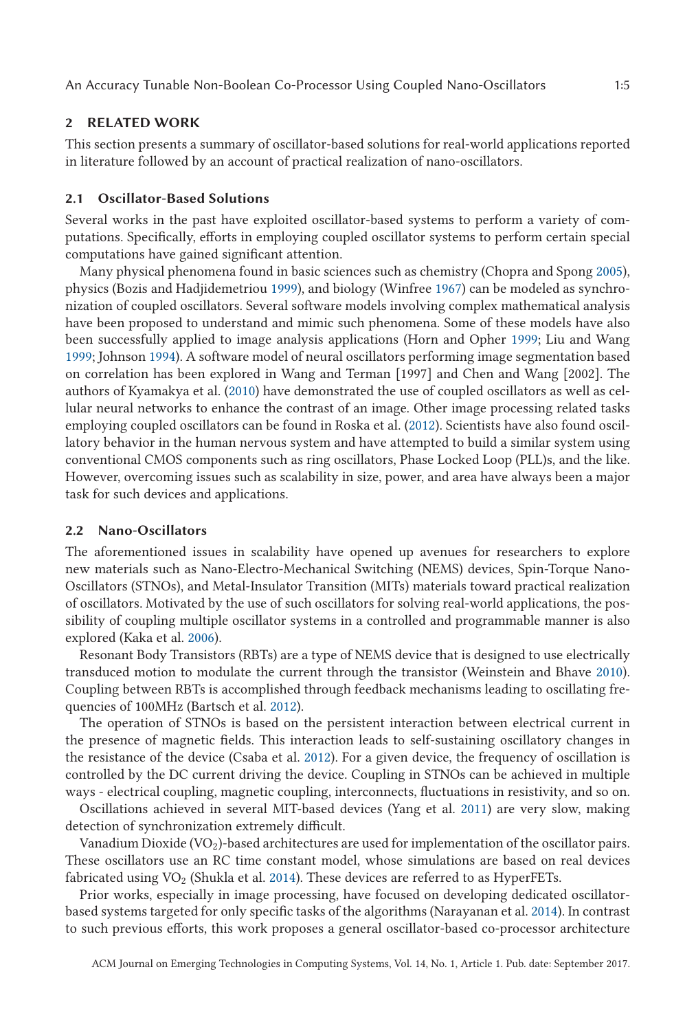### 2 RELATED WORK

This section presents a summary of oscillator-based solutions for real-world applications reported in literature followed by an account of practical realization of nano-oscillators.

### 2.1 Oscillator-Based Solutions

Several works in the past have exploited oscillator-based systems to perform a variety of computations. Specifically, efforts in employing coupled oscillator systems to perform certain special computations have gained significant attention.

Many physical phenomena found in basic sciences such as chemistry (Chopra and Spong 2005), physics (Bozis and Hadjidemetriou 1999), and biology (Winfree 1967) can be modeled as synchronization of coupled oscillators. Several software models involving complex mathematical analysis have been proposed to understand and mimic such phenomena. Some of these models have also been successfully applied to image analysis applications (Horn and Opher 1999; Liu and Wang 1999; Johnson 1994). A software model of neural oscillators performing image segmentation based on correlation has been explored in Wang and Terman [1997] and Chen and Wang [2002]. The authors of Kyamakya et al. (2010) have demonstrated the use of coupled oscillators as well as cellular neural networks to enhance the contrast of an image. Other image processing related tasks employing coupled oscillators can be found in Roska et al. (2012). Scientists have also found oscillatory behavior in the human nervous system and have attempted to build a similar system using conventional CMOS components such as ring oscillators, Phase Locked Loop (PLL)s, and the like. However, overcoming issues such as scalability in size, power, and area have always been a major task for such devices and applications.

# 2.2 Nano-Oscillators

The aforementioned issues in scalability have opened up avenues for researchers to explore new materials such as Nano-Electro-Mechanical Switching (NEMS) devices, Spin-Torque Nano-Oscillators (STNOs), and Metal-Insulator Transition (MITs) materials toward practical realization of oscillators. Motivated by the use of such oscillators for solving real-world applications, the possibility of coupling multiple oscillator systems in a controlled and programmable manner is also explored (Kaka et al. 2006).

Resonant Body Transistors (RBTs) are a type of NEMS device that is designed to use electrically transduced motion to modulate the current through the transistor (Weinstein and Bhave 2010). Coupling between RBTs is accomplished through feedback mechanisms leading to oscillating frequencies of 100MHz (Bartsch et al. 2012).

The operation of STNOs is based on the persistent interaction between electrical current in the presence of magnetic fields. This interaction leads to self-sustaining oscillatory changes in the resistance of the device (Csaba et al. 2012). For a given device, the frequency of oscillation is controlled by the DC current driving the device. Coupling in STNOs can be achieved in multiple ways - electrical coupling, magnetic coupling, interconnects, fluctuations in resistivity, and so on.

Oscillations achieved in several MIT-based devices (Yang et al. 2011) are very slow, making detection of synchronization extremely difficult.

Vanadium Dioxide ( $VO<sub>2</sub>$ )-based architectures are used for implementation of the oscillator pairs. These oscillators use an RC time constant model, whose simulations are based on real devices fabricated using  $VO<sub>2</sub>$  (Shukla et al. 2014). These devices are referred to as HyperFETs.

Prior works, especially in image processing, have focused on developing dedicated oscillatorbased systems targeted for only specific tasks of the algorithms (Narayanan et al. 2014). In contrast to such previous efforts, this work proposes a general oscillator-based co-processor architecture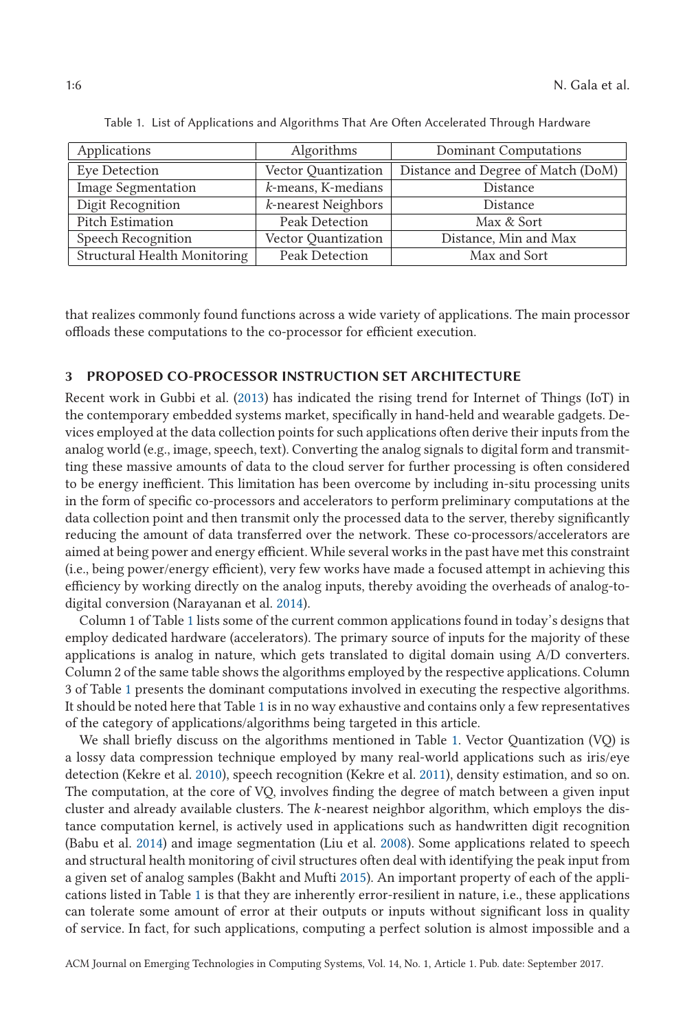| Applications                 | Algorithms          | Dominant Computations              |
|------------------------------|---------------------|------------------------------------|
| Eye Detection                | Vector Quantization | Distance and Degree of Match (DoM) |
| <b>Image Segmentation</b>    | k-means, K-medians  | Distance                           |
| Digit Recognition            | k-nearest Neighbors | Distance                           |
| Pitch Estimation             | Peak Detection      | Max & Sort                         |
| Speech Recognition           | Vector Quantization | Distance, Min and Max              |
| Structural Health Monitoring | Peak Detection      | Max and Sort                       |

Table 1. List of Applications and Algorithms That Are Often Accelerated Through Hardware

that realizes commonly found functions across a wide variety of applications. The main processor offloads these computations to the co-processor for efficient execution.

# 3 PROPOSED CO-PROCESSOR INSTRUCTION SET ARCHITECTURE

Recent work in Gubbi et al. (2013) has indicated the rising trend for Internet of Things (IoT) in the contemporary embedded systems market, specifically in hand-held and wearable gadgets. Devices employed at the data collection points for such applications often derive their inputs from the analog world (e.g., image, speech, text). Converting the analog signals to digital form and transmitting these massive amounts of data to the cloud server for further processing is often considered to be energy inefficient. This limitation has been overcome by including in-situ processing units in the form of specific co-processors and accelerators to perform preliminary computations at the data collection point and then transmit only the processed data to the server, thereby significantly reducing the amount of data transferred over the network. These co-processors/accelerators are aimed at being power and energy efficient. While several works in the past have met this constraint (i.e., being power/energy efficient), very few works have made a focused attempt in achieving this efficiency by working directly on the analog inputs, thereby avoiding the overheads of analog-todigital conversion (Narayanan et al. 2014).

Column 1 of Table 1 lists some of the current common applications found in today's designs that employ dedicated hardware (accelerators). The primary source of inputs for the majority of these applications is analog in nature, which gets translated to digital domain using A/D converters. Column 2 of the same table shows the algorithms employed by the respective applications. Column 3 of Table 1 presents the dominant computations involved in executing the respective algorithms. It should be noted here that Table 1 is in no way exhaustive and contains only a few representatives of the category of applications/algorithms being targeted in this article.

We shall briefly discuss on the algorithms mentioned in Table 1. Vector Quantization (VQ) is a lossy data compression technique employed by many real-world applications such as iris/eye detection (Kekre et al. 2010), speech recognition (Kekre et al. 2011), density estimation, and so on. The computation, at the core of VQ, involves finding the degree of match between a given input cluster and already available clusters. The k-nearest neighbor algorithm, which employs the distance computation kernel, is actively used in applications such as handwritten digit recognition (Babu et al. 2014) and image segmentation (Liu et al. 2008). Some applications related to speech and structural health monitoring of civil structures often deal with identifying the peak input from a given set of analog samples (Bakht and Mufti 2015). An important property of each of the applications listed in Table 1 is that they are inherently error-resilient in nature, i.e., these applications can tolerate some amount of error at their outputs or inputs without significant loss in quality of service. In fact, for such applications, computing a perfect solution is almost impossible and a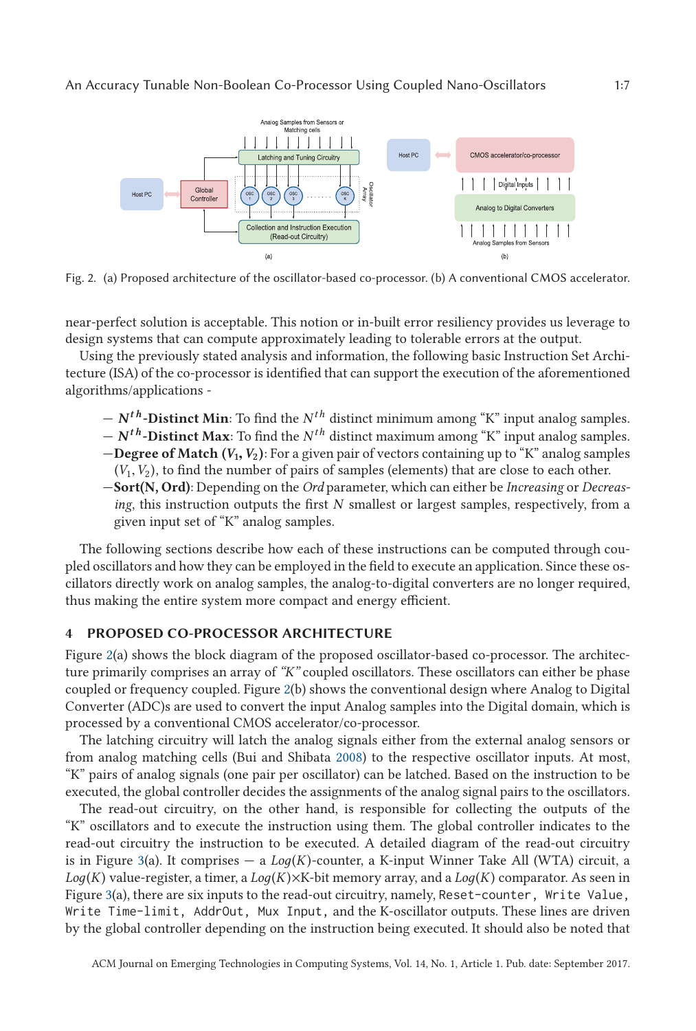

Fig. 2. (a) Proposed architecture of the oscillator-based co-processor. (b) A conventional CMOS accelerator.

near-perfect solution is acceptable. This notion or in-built error resiliency provides us leverage to design systems that can compute approximately leading to tolerable errors at the output.

Using the previously stated analysis and information, the following basic Instruction Set Architecture (ISA) of the co-processor is identified that can support the execution of the aforementioned algorithms/applications -

- $N^{th}$ -Distinct Min: To find the  $N^{th}$  distinct minimum among "K" input analog samples.
- $-N<sup>th</sup>$ -Distinct Max: To find the  $N<sup>th</sup>$  distinct maximum among "K" input analog samples.
- **—Degree of Match (V<sub>1</sub>, V<sub>2</sub>)**: For a given pair of vectors containing up to "K" analog samples  $(V_1, V_2)$ , to find the number of pairs of samples (elements) that are close to each other.
- —Sort(N, Ord): Depending on the Ord parameter, which can either be Increasing or Decreasing, this instruction outputs the first N smallest or largest samples, respectively, from a given input set of "K" analog samples.

The following sections describe how each of these instructions can be computed through coupled oscillators and how they can be employed in the field to execute an application. Since these oscillators directly work on analog samples, the analog-to-digital converters are no longer required, thus making the entire system more compact and energy efficient.

# 4 PROPOSED CO-PROCESSOR ARCHITECTURE

Figure 2(a) shows the block diagram of the proposed oscillator-based co-processor. The architecture primarily comprises an array of "K" coupled oscillators. These oscillators can either be phase coupled or frequency coupled. Figure 2(b) shows the conventional design where Analog to Digital Converter (ADC)s are used to convert the input Analog samples into the Digital domain, which is processed by a conventional CMOS accelerator/co-processor.

The latching circuitry will latch the analog signals either from the external analog sensors or from analog matching cells (Bui and Shibata 2008) to the respective oscillator inputs. At most, "K" pairs of analog signals (one pair per oscillator) can be latched. Based on the instruction to be executed, the global controller decides the assignments of the analog signal pairs to the oscillators.

The read-out circuitry, on the other hand, is responsible for collecting the outputs of the "K" oscillators and to execute the instruction using them. The global controller indicates to the read-out circuitry the instruction to be executed. A detailed diagram of the read-out circuitry is in Figure 3(a). It comprises  $-$  a  $Log(K)$ -counter, a K-input Winner Take All (WTA) circuit, a  $Log(K)$  value-register, a timer, a  $Log(K) \times K$ -bit memory array, and a  $Log(K)$  comparator. As seen in Figure 3(a), there are six inputs to the read-out circuitry, namely, Reset-counter, Write Value, Write Time-limit, AddrOut, Mux Input, and the K-oscillator outputs. These lines are driven by the global controller depending on the instruction being executed. It should also be noted that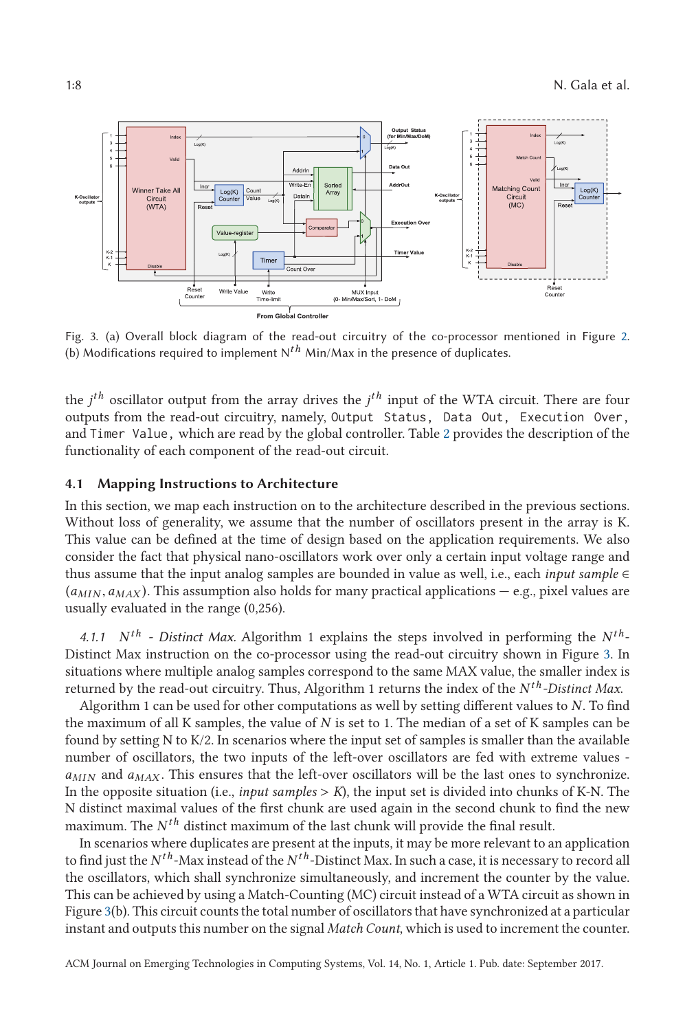

Fig. 3. (a) Overall block diagram of the read-out circuitry of the co-processor mentioned in Figure 2. (b) Modifications required to implement  $N^{th}$  Min/Max in the presence of duplicates.

the  $j^{th}$  oscillator output from the array drives the  $j^{th}$  input of the WTA circuit. There are four outputs from the read-out circuitry, namely, Output Status, Data Out, Execution Over, and Timer Value, which are read by the global controller. Table 2 provides the description of the functionality of each component of the read-out circuit.

# 4.1 Mapping Instructions to Architecture

In this section, we map each instruction on to the architecture described in the previous sections. Without loss of generality, we assume that the number of oscillators present in the array is K. This value can be defined at the time of design based on the application requirements. We also consider the fact that physical nano-oscillators work over only a certain input voltage range and thus assume that the input analog samples are bounded in value as well, i.e., each *input sample*  $\in$  $(a_{MIN}, a_{MAX})$ . This assumption also holds for many practical applications  $-$  e.g., pixel values are usually evaluated in the range (0,256).

4.1.1  $N^{th}$  - Distinct Max. Algorithm 1 explains the steps involved in performing the  $N^{th}$ -Distinct Max instruction on the co-processor using the read-out circuitry shown in Figure 3. In situations where multiple analog samples correspond to the same MAX value, the smaller index is returned by the read-out circuitry. Thus, Algorithm 1 returns the index of the  $N^{th}$ -Distinct Max.

Algorithm 1 can be used for other computations as well by setting different values to N. To find the maximum of all K samples, the value of N is set to 1. The median of a set of K samples can be found by setting N to K/2. In scenarios where the input set of samples is smaller than the available number of oscillators, the two inputs of the left-over oscillators are fed with extreme values  $a_{MIN}$  and  $a_{MAX}$ . This ensures that the left-over oscillators will be the last ones to synchronize. In the opposite situation (i.e., input samples  $> K$ ), the input set is divided into chunks of K-N. The N distinct maximal values of the first chunk are used again in the second chunk to find the new maximum. The  $N^{th}$  distinct maximum of the last chunk will provide the final result.

In scenarios where duplicates are present at the inputs, it may be more relevant to an application to find just the  $N^{th}$ -Max instead of the  $N^{th}$ -Distinct Max. In such a case, it is necessary to record all the oscillators, which shall synchronize simultaneously, and increment the counter by the value. This can be achieved by using a Match-Counting (MC) circuit instead of a WTA circuit as shown in Figure 3(b). This circuit counts the total number of oscillators that have synchronized at a particular instant and outputs this number on the signal Match Count, which is used to increment the counter.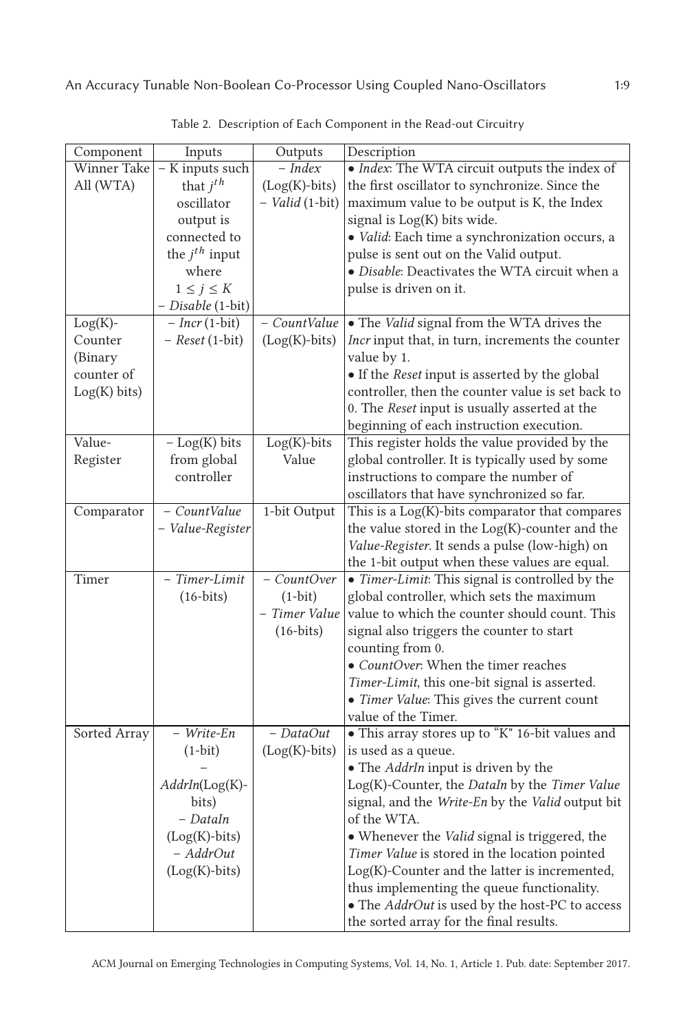| Component      | Inputs                  | Outputs                  | Description                                           |
|----------------|-------------------------|--------------------------|-------------------------------------------------------|
| Winner Take    | - K inputs such         | $-$ <i>Index</i>         | • Index: The WTA circuit outputs the index of         |
| All (WTA)      | that $j^{th}$           | $(Log(K)-bits)$          | the first oscillator to synchronize. Since the        |
|                | oscillator              | $-$ <i>Valid</i> (1-bit) | maximum value to be output is K, the Index            |
|                | output is               |                          | signal is Log(K) bits wide.                           |
|                | connected to            |                          | · Valid: Each time a synchronization occurs, a        |
|                | the $j^{th}$ input      |                          | pulse is sent out on the Valid output.                |
|                | where                   |                          | · Disable: Deactivates the WTA circuit when a         |
|                | $1 \leq j \leq K$       |                          | pulse is driven on it.                                |
|                | $-Disable (1-bit)$      |                          |                                                       |
| $Log(K)$ -     | $-$ <i>Incr</i> (1-bit) | - CountValue             | • The Valid signal from the WTA drives the            |
| Counter        | $-$ Reset (1-bit)       | $(Log(K)-bits)$          | Incr input that, in turn, increments the counter      |
| (Binary        |                         |                          | value by 1.                                           |
| counter of     |                         |                          | • If the <i>Reset</i> input is asserted by the global |
| $Log(K)$ bits) |                         |                          | controller, then the counter value is set back to     |
|                |                         |                          | 0. The Reset input is usually asserted at the         |
|                |                         |                          | beginning of each instruction execution.              |
| Value-         | $-$ Log(K) bits         | $Log(K)$ -bits           | This register holds the value provided by the         |
| Register       | from global             | Value                    | global controller. It is typically used by some       |
|                | controller              |                          | instructions to compare the number of                 |
|                |                         |                          | oscillators that have synchronized so far.            |
| Comparator     | - CountValue            | 1-bit Output             | This is a $Log(K)$ -bits comparator that compares     |
|                | - Value-Register        |                          | the value stored in the $Log(K)$ -counter and the     |
|                |                         |                          | Value-Register. It sends a pulse (low-high) on        |
|                |                         |                          | the 1-bit output when these values are equal.         |
| Timer          | $-$ Timer-Limit         | - CountOver              | • Timer-Limit: This signal is controlled by the       |
|                | $(16-bits)$             | $(1-bit)$                | global controller, which sets the maximum             |
|                |                         | - Timer Value            | value to which the counter should count. This         |
|                |                         | $(16-bits)$              | signal also triggers the counter to start             |
|                |                         |                          | counting from 0.                                      |
|                |                         |                          | • CountOver: When the timer reaches                   |
|                |                         |                          | Timer-Limit, this one-bit signal is asserted.         |
|                |                         |                          | • Timer Value: This gives the current count           |
|                |                         |                          | value of the Timer.                                   |
| Sorted Array   | $- Write$ - $En$        | $-DataOut$               | • This array stores up to "K" 16-bit values and       |
|                | $(1-bit)$               | $(Log(K)-bits)$          | is used as a queue.                                   |
|                |                         |                          | • The AddrIn input is driven by the                   |
|                | AddrIn(Log(K)-          |                          | $Log(K)$ -Counter, the DataIn by the Timer Value      |
|                | bits)                   |                          | signal, and the Write-En by the Valid output bit      |
|                | $-Dataln$               |                          | of the WTA.                                           |
|                | $(Log(K)-bits)$         |                          | · Whenever the Valid signal is triggered, the         |
|                | $-$ AddrOut             |                          | Timer Value is stored in the location pointed         |
|                | $(Log(K)-bits)$         |                          | Log(K)-Counter and the latter is incremented,         |
|                |                         |                          | thus implementing the queue functionality.            |
|                |                         |                          | • The AddrOut is used by the host-PC to access        |
|                |                         |                          | the sorted array for the final results.               |

Table 2. Description of Each Component in the Read-out Circuitry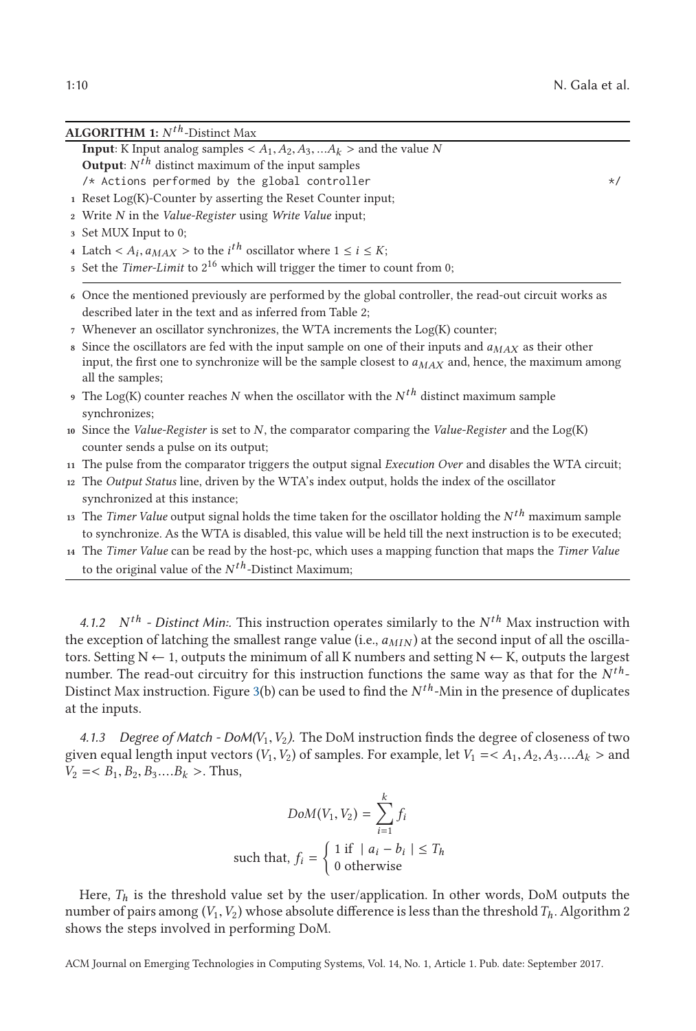| <b>ALGORITHM 1:</b> $N^{th}$ -Distinct Max                                                                |          |
|-----------------------------------------------------------------------------------------------------------|----------|
| <b>Input</b> : K Input analog samples $\langle A_1, A_2, A_3,  A_k \rangle$ and the value N               |          |
| <b>Output</b> : $N^{th}$ distinct maximum of the input samples                                            |          |
| /* Actions performed by the global controller                                                             | $\star/$ |
| 1 Reset Log(K)-Counter by asserting the Reset Counter input;                                              |          |
| 2 Write N in the Value-Register using Write Value input;                                                  |          |
| 3 Set MUX Input to 0;                                                                                     |          |
| 4 Latch $\langle A_i, a_{MAX} \rangle$ to the <i>i</i> <sup>th</sup> oscillator where $1 \le i \le K$ ;   |          |
| 5 Set the <i>Timer-Limit</i> to $2^{16}$ which will trigger the timer to count from 0;                    |          |
| 6 Once the mentioned previously are performed by the global controller, the read-out circuit works as     |          |
| described later in the text and as inferred from Table 2;                                                 |          |
| $\tau$ Whenever an oscillator synchronizes, the WTA increments the Log(K) counter;                        |          |
| s Since the oscillators are fed with the input sample on one of their inputs and $a_{MAX}$ as their other |          |
| input, the first one to synchronize will be the sample closest to $a_{MAX}$ and, hence, the maximum among |          |
| all the samples;                                                                                          |          |
|                                                                                                           |          |

- $\cdot$  The Log(K) counter reaches  $N$  when the oscillator with the  $N^{th}$  distinct maximum sample synchronizes;
- 10 Since the Value-Register is set to  $N$ , the comparator comparing the Value-Register and the  $Log(K)$ counter sends a pulse on its output;
- 11 The pulse from the comparator triggers the output signal *Execution Over* and disables the WTA circuit;
- <sup>12</sup> The Output Status line, driven by the WTA's index output, holds the index of the oscillator synchronized at this instance;
- 13 The *Timer Value* output signal holds the time taken for the oscillator holding the  $N^{th}$  maximum sample to synchronize. As the WTA is disabled, this value will be held till the next instruction is to be executed;
- <sup>14</sup> The Timer Value can be read by the host-pc, which uses a mapping function that maps the Timer Value to the original value of the  $N^{th}$ -Distinct Maximum;

4.1.2  $N^{th}$  *- Distinct Min:.* This instruction operates similarly to the  $N^{th}$  Max instruction with the exception of latching the smallest range value (i.e.,  $a_{MIN}$ ) at the second input of all the oscillators. Setting  $N \leftarrow 1$ , outputs the minimum of all K numbers and setting  $N \leftarrow K$ , outputs the largest number. The read-out circuitry for this instruction functions the same way as that for the  $N^{th}$ -Distinct Max instruction. Figure 3(b) can be used to find the  $N^{th}\!$ -Min in the presence of duplicates at the inputs.

4.1.3 Degree of Match -  $D \circ M(V_1,V_2)$ . The DoM instruction finds the degree of closeness of two given equal length input vectors  $(V_1, V_2)$  of samples. For example, let  $V_1 = \langle A_1, A_2, A_3, \ldots, A_k \rangle$  and  $V_2 =$ . Thus,

$$
DoM(V_1, V_2) = \sum_{i=1}^{k} f_i
$$
  
such that,  $f_i = \begin{cases} 1 \text{ if } |a_i - b_i| \le T_h \\ 0 \text{ otherwise} \end{cases}$ 

Here,  $T_h$  is the threshold value set by the user/application. In other words, DoM outputs the number of pairs among  $(V_1, V_2)$  whose absolute difference is less than the threshold  $T_h$ . Algorithm 2 shows the steps involved in performing DoM.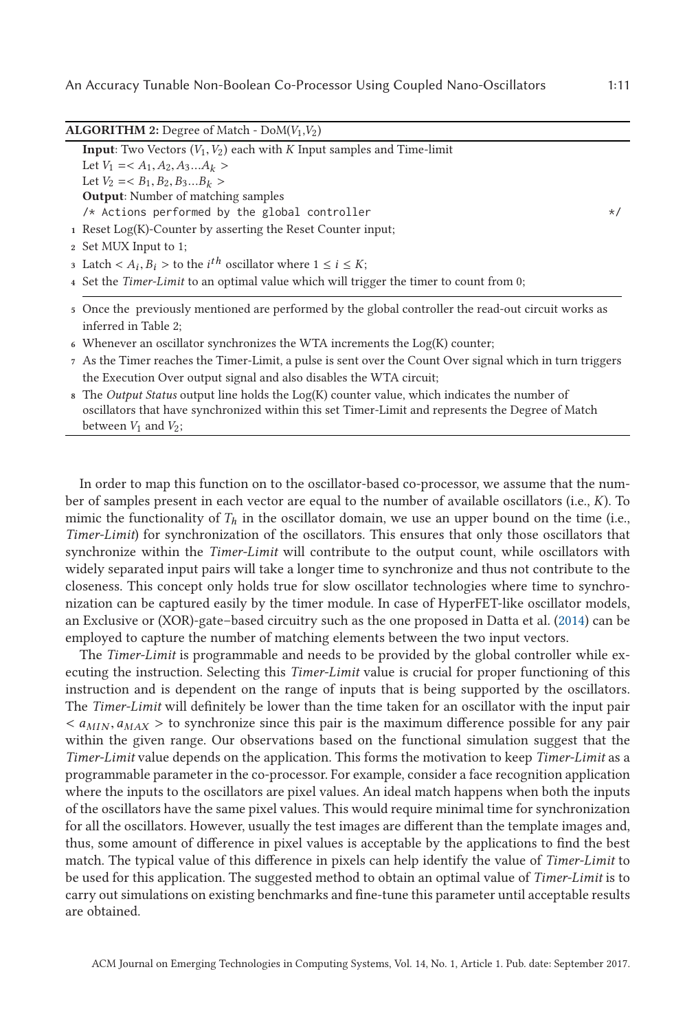| <b>ALGORITHM 2:</b> Degree of Match - $\text{DoM}(V_1, V_2)$                                              |          |  |
|-----------------------------------------------------------------------------------------------------------|----------|--|
| <b>Input:</b> Two Vectors $(V_1, V_2)$ each with K Input samples and Time-limit                           |          |  |
| Let $V_1 = $                                                                                              |          |  |
| Let $V_2 = \langle B_1, B_2, B_3, \ldots, B_k \rangle$                                                    |          |  |
| <b>Output:</b> Number of matching samples                                                                 |          |  |
| /* Actions performed by the global controller                                                             | $\star/$ |  |
| 1 Reset Log(K)-Counter by asserting the Reset Counter input;                                              |          |  |
| 2 Set MUX Input to 1;                                                                                     |          |  |
| 3 Latch $\langle A_i, B_i \rangle$ to the <i>i</i> <sup>th</sup> oscillator where $1 \le i \le K$ ;       |          |  |
| 4 Set the <i>Timer-Limit</i> to an optimal value which will trigger the timer to count from 0;            |          |  |
| the previously mentioned are performed by the global controller the read-out circuit works as             |          |  |
| inferred in Table 2;                                                                                      |          |  |
| $\epsilon$ Whenever an oscillator synchronizes the WTA increments the Log(K) counter;                     |          |  |
| 7 As the Timer reaches the Timer-Limit, a pulse is sent over the Count Over signal which in turn triggers |          |  |

the Execution Over output signal and also disables the WTA circuit; <sup>8</sup> The Output Status output line holds the Log(K) counter value, which indicates the number of

oscillators that have synchronized within this set Timer-Limit and represents the Degree of Match between  $V_1$  and  $V_2$ ;

In order to map this function on to the oscillator-based co-processor, we assume that the number of samples present in each vector are equal to the number of available oscillators (i.e., K). To mimic the functionality of  $T_h$  in the oscillator domain, we use an upper bound on the time (i.e., Timer-Limit) for synchronization of the oscillators. This ensures that only those oscillators that synchronize within the Timer-Limit will contribute to the output count, while oscillators with widely separated input pairs will take a longer time to synchronize and thus not contribute to the closeness. This concept only holds true for slow oscillator technologies where time to synchronization can be captured easily by the timer module. In case of HyperFET-like oscillator models, an Exclusive or (XOR)-gate–based circuitry such as the one proposed in Datta et al. (2014) can be employed to capture the number of matching elements between the two input vectors.

The Timer-Limit is programmable and needs to be provided by the global controller while executing the instruction. Selecting this Timer-Limit value is crucial for proper functioning of this instruction and is dependent on the range of inputs that is being supported by the oscillators. The Timer-Limit will definitely be lower than the time taken for an oscillator with the input pair  $\langle a_{MIN}, a_{MAX} \rangle$  to synchronize since this pair is the maximum difference possible for any pair within the given range. Our observations based on the functional simulation suggest that the Timer-Limit value depends on the application. This forms the motivation to keep Timer-Limit as a programmable parameter in the co-processor. For example, consider a face recognition application where the inputs to the oscillators are pixel values. An ideal match happens when both the inputs of the oscillators have the same pixel values. This would require minimal time for synchronization for all the oscillators. However, usually the test images are different than the template images and, thus, some amount of difference in pixel values is acceptable by the applications to find the best match. The typical value of this difference in pixels can help identify the value of Timer-Limit to be used for this application. The suggested method to obtain an optimal value of Timer-Limit is to carry out simulations on existing benchmarks and fine-tune this parameter until acceptable results are obtained.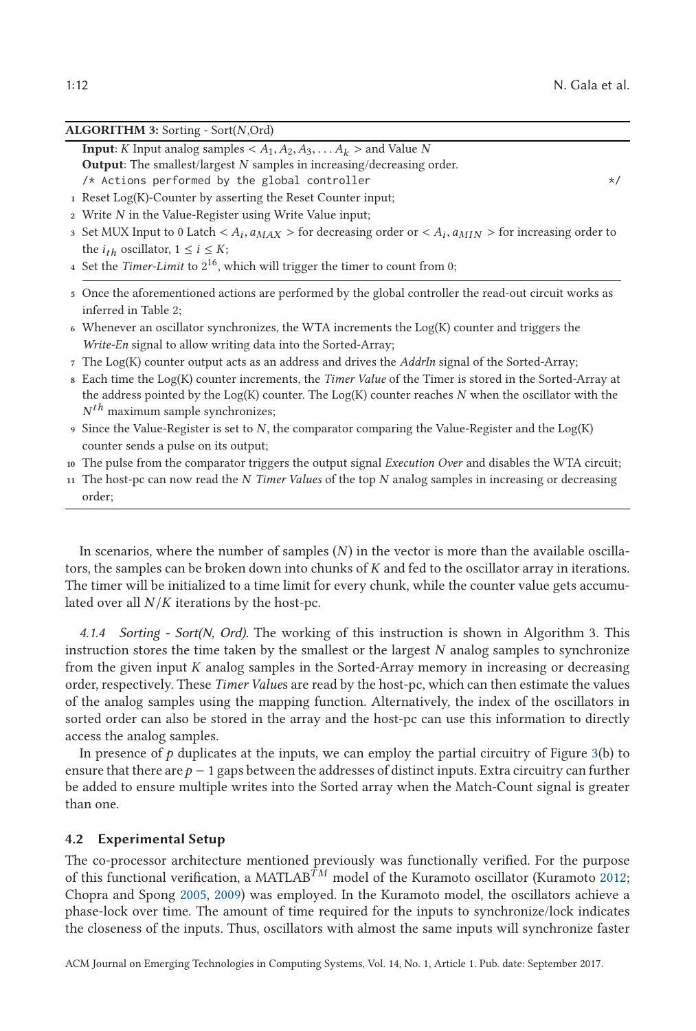#### ALGORITHM 3: Sorting - Sort(N,Ord)

**Input:** K Input analog samples  $\lt A_1, A_2, A_3, \ldots, A_k$   $\gt$  and Value N

Output: The smallest/largest N samples in increasing/decreasing order. /\* Actions performed by the global controller \*/

<sup>1</sup> Reset Log(K)-Counter by asserting the Reset Counter input;

- <sup>2</sup> Write N in the Value-Register using Write Value input;
- 3 Set MUX Input to 0 Latch  $\langle A_i, a_{MAX} \rangle$  for decreasing order or  $\langle A_i, a_{MIN} \rangle$  for increasing order to the  $i_{th}$  oscillator,  $1 \leq i \leq K$ ;
- 4 Set the Timer-Limit to  $2^{16}$ , which will trigger the timer to count from 0;
- <sup>5</sup> Once the aforementioned actions are performed by the global controller the read-out circuit works as inferred in Table 2;
- $6$  Whenever an oscillator synchronizes, the WTA increments the  $Log(K)$  counter and triggers the Write-En signal to allow writing data into the Sorted-Array;
- $7$  The Log(K) counter output acts as an address and drives the AddrIn signal of the Sorted-Array;
- <sup>8</sup> Each time the Log(K) counter increments, the Timer Value of the Timer is stored in the Sorted-Array at the address pointed by the  $Log(K)$  counter. The  $Log(K)$  counter reaches N when the oscillator with the  $N^{th}$  maximum sample synchronizes;
- <sup>9</sup> Since the Value-Register is set to N, the comparator comparing the Value-Register and the Log(K) counter sends a pulse on its output;
- 10 The pulse from the comparator triggers the output signal *Execution Over* and disables the WTA circuit;
- 11 The host-pc can now read the N Timer Values of the top N analog samples in increasing or decreasing order;

In scenarios, where the number of samples  $(N)$  in the vector is more than the available oscillators, the samples can be broken down into chunks of  $K$  and fed to the oscillator array in iterations. The timer will be initialized to a time limit for every chunk, while the counter value gets accumulated over all  $N/K$  iterations by the host-pc.

*4.1.4 Sorting - Sort(N, Ord).* The working of this instruction is shown in Algorithm 3. This instruction stores the time taken by the smallest or the largest N analog samples to synchronize from the given input K analog samples in the Sorted-Array memory in increasing or decreasing order, respectively. These Timer Values are read by the host-pc, which can then estimate the values of the analog samples using the mapping function. Alternatively, the index of the oscillators in sorted order can also be stored in the array and the host-pc can use this information to directly access the analog samples.

In presence of  $p$  duplicates at the inputs, we can employ the partial circuitry of Figure 3(b) to ensure that there are  $p - 1$  gaps between the addresses of distinct inputs. Extra circuitry can further be added to ensure multiple writes into the Sorted array when the Match-Count signal is greater than one.

### 4.2 Experimental Setup

The co-processor architecture mentioned previously was functionally verified. For the purpose of this functional verification, a MATLAB<sup>TM</sup> model of the Kuramoto oscillator (Kuramoto 2012; Chopra and Spong 2005, 2009) was employed. In the Kuramoto model, the oscillators achieve a phase-lock over time. The amount of time required for the inputs to synchronize/lock indicates the closeness of the inputs. Thus, oscillators with almost the same inputs will synchronize faster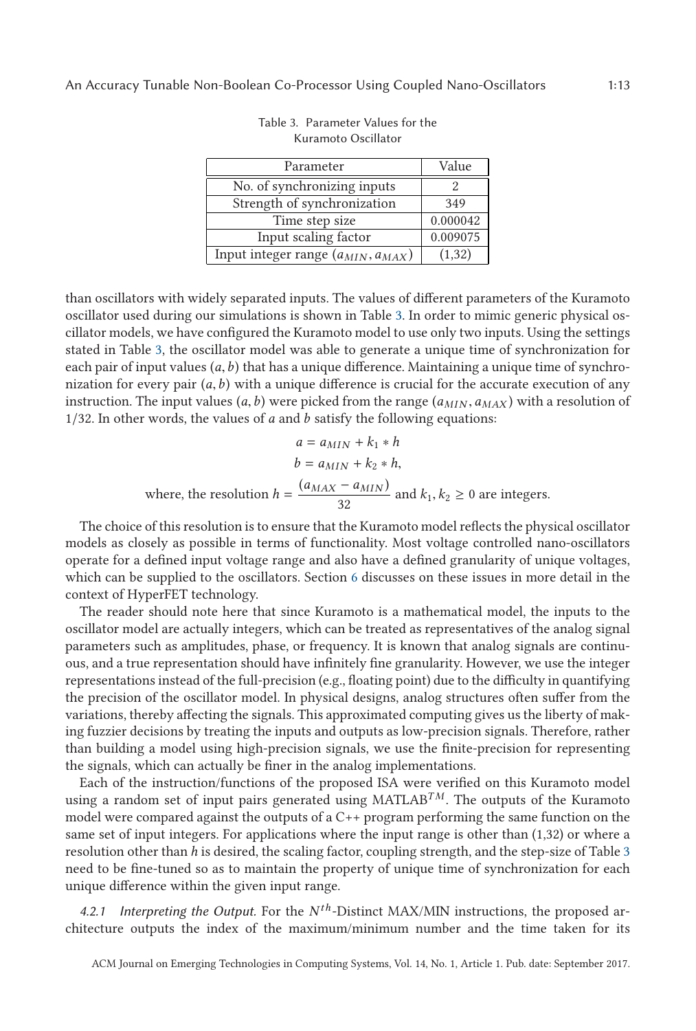| Parameter                                | Value    |  |
|------------------------------------------|----------|--|
| No. of synchronizing inputs              |          |  |
| Strength of synchronization              | 349      |  |
| Time step size                           | 0.000042 |  |
| Input scaling factor                     | 0.009075 |  |
| Input integer range $(a_{MIN}, a_{MAX})$ | (1,32)   |  |

Table 3. Parameter Values for the Kuramoto Oscillator

than oscillators with widely separated inputs. The values of different parameters of the Kuramoto oscillator used during our simulations is shown in Table 3. In order to mimic generic physical oscillator models, we have configured the Kuramoto model to use only two inputs. Using the settings stated in Table 3, the oscillator model was able to generate a unique time of synchronization for each pair of input values  $(a, b)$  that has a unique difference. Maintaining a unique time of synchronization for every pair  $(a, b)$  with a unique difference is crucial for the accurate execution of any instruction. The input values  $(a, b)$  were picked from the range  $(a_{MIN}, a_{MAX})$  with a resolution of 1/32. In other words, the values of  $a$  and  $b$  satisfy the following equations:

$$
a = a_{MIN} + k_1 * h
$$
  
\n
$$
b = a_{MIN} + k_2 * h,
$$
  
\nwhere, the resolution  $h = \frac{(a_{MAX} - a_{MIN})}{32}$  and  $k_1, k_2 \ge 0$  are integers.

The choice of this resolution is to ensure that the Kuramoto model reflects the physical oscillator models as closely as possible in terms of functionality. Most voltage controlled nano-oscillators operate for a defined input voltage range and also have a defined granularity of unique voltages, which can be supplied to the oscillators. Section 6 discusses on these issues in more detail in the context of HyperFET technology.

The reader should note here that since Kuramoto is a mathematical model, the inputs to the oscillator model are actually integers, which can be treated as representatives of the analog signal parameters such as amplitudes, phase, or frequency. It is known that analog signals are continuous, and a true representation should have infinitely fine granularity. However, we use the integer representations instead of the full-precision (e.g., floating point) due to the difficulty in quantifying the precision of the oscillator model. In physical designs, analog structures often suffer from the variations, thereby affecting the signals. This approximated computing gives us the liberty of making fuzzier decisions by treating the inputs and outputs as low-precision signals. Therefore, rather than building a model using high-precision signals, we use the finite-precision for representing the signals, which can actually be finer in the analog implementations.

Each of the instruction/functions of the proposed ISA were verified on this Kuramoto model using a random set of input pairs generated using  $MATLAB^{TM}$ . The outputs of the Kuramoto model were compared against the outputs of a C++ program performing the same function on the same set of input integers. For applications where the input range is other than (1,32) or where a resolution other than h is desired, the scaling factor, coupling strength, and the step-size of Table 3 need to be fine-tuned so as to maintain the property of unique time of synchronization for each unique difference within the given input range.

4.2.1 Interpreting the Output. For the  $N^{th}$ -Distinct MAX/MIN instructions, the proposed architecture outputs the index of the maximum/minimum number and the time taken for its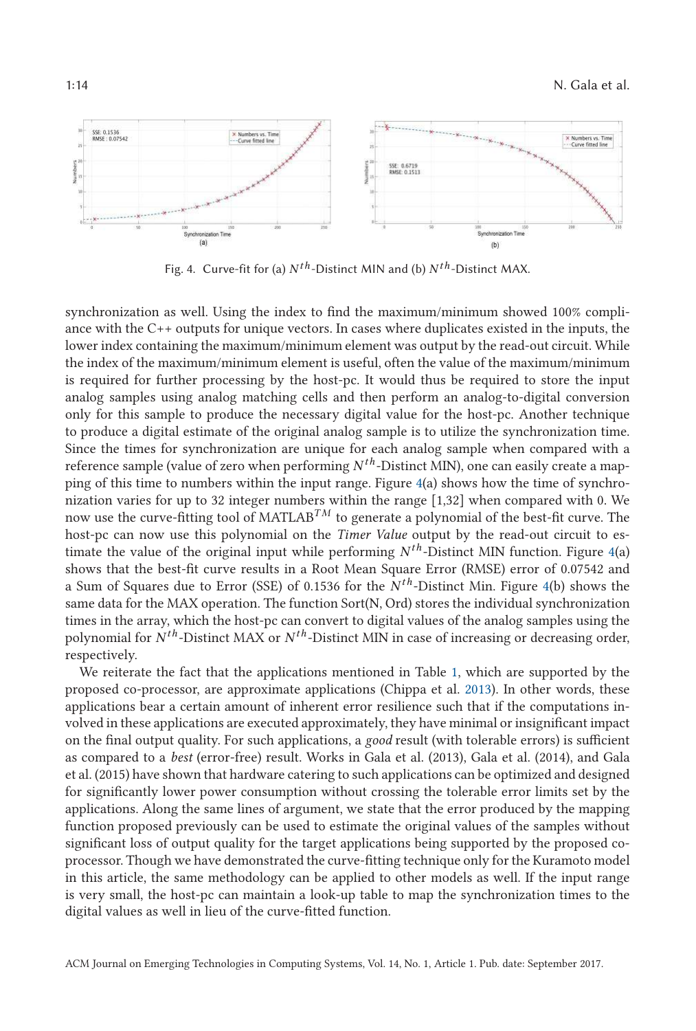

Fig. 4. Curve-fit for (a)  $N^{th}$ -Distinct MIN and (b)  $N^{th}$ -Distinct MAX.

synchronization as well. Using the index to find the maximum/minimum showed 100% compliance with the C++ outputs for unique vectors. In cases where duplicates existed in the inputs, the lower index containing the maximum/minimum element was output by the read-out circuit. While the index of the maximum/minimum element is useful, often the value of the maximum/minimum is required for further processing by the host-pc. It would thus be required to store the input analog samples using analog matching cells and then perform an analog-to-digital conversion only for this sample to produce the necessary digital value for the host-pc. Another technique to produce a digital estimate of the original analog sample is to utilize the synchronization time. Since the times for synchronization are unique for each analog sample when compared with a reference sample (value of zero when performing  $N^{th}$ -Distinct MIN), one can easily create a mapping of this time to numbers within the input range. Figure 4(a) shows how the time of synchronization varies for up to 32 integer numbers within the range [1,32] when compared with 0. We now use the curve-fitting tool of  $MATLAB^{TM}$  to generate a polynomial of the best-fit curve. The host-pc can now use this polynomial on the *Timer Value* output by the read-out circuit to estimate the value of the original input while performing  $N^{th}$ -Distinct MIN function. Figure 4(a) shows that the best-fit curve results in a Root Mean Square Error (RMSE) error of 0.07542 and a Sum of Squares due to Error (SSE) of 0.1536 for the  $N^{th}$ -Distinct Min. Figure 4(b) shows the same data for the MAX operation. The function Sort(N, Ord) stores the individual synchronization times in the array, which the host-pc can convert to digital values of the analog samples using the polynomial for  $N^{th}$ -Distinct MAX or  $N^{th}$ -Distinct MIN in case of increasing or decreasing order, respectively.

We reiterate the fact that the applications mentioned in Table 1, which are supported by the proposed co-processor, are approximate applications (Chippa et al. 2013). In other words, these applications bear a certain amount of inherent error resilience such that if the computations involved in these applications are executed approximately, they have minimal or insignificant impact on the final output quality. For such applications, a good result (with tolerable errors) is sufficient as compared to a best (error-free) result. Works in Gala et al. (2013), Gala et al. (2014), and Gala et al. (2015) have shown that hardware catering to such applications can be optimized and designed for significantly lower power consumption without crossing the tolerable error limits set by the applications. Along the same lines of argument, we state that the error produced by the mapping function proposed previously can be used to estimate the original values of the samples without significant loss of output quality for the target applications being supported by the proposed coprocessor. Though we have demonstrated the curve-fitting technique only for the Kuramoto model in this article, the same methodology can be applied to other models as well. If the input range is very small, the host-pc can maintain a look-up table to map the synchronization times to the digital values as well in lieu of the curve-fitted function.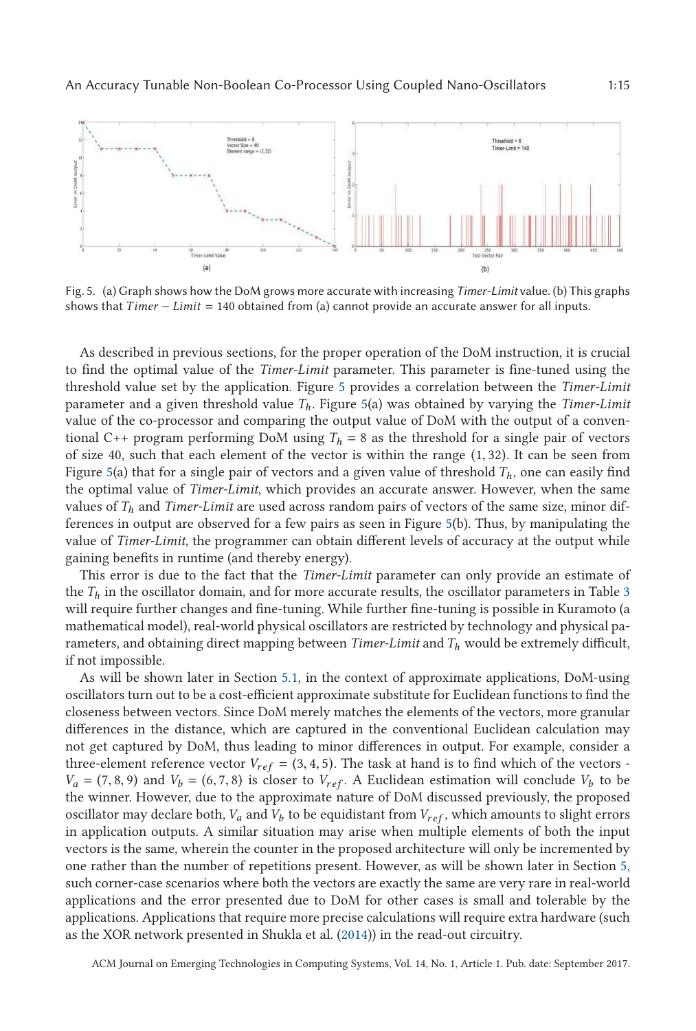

Fig. 5. (a) Graph shows how the DoM grows more accurate with increasing *Timer-Limit* value. (b) This graphs shows that Timer − Limit = 140 obtained from (a) cannot provide an accurate answer for all inputs.

As described in previous sections, for the proper operation of the DoM instruction, it is crucial to find the optimal value of the Timer-Limit parameter. This parameter is fine-tuned using the threshold value set by the application. Figure 5 provides a correlation between the Timer-Limit parameter and a given threshold value  $T_h$ . Figure 5(a) was obtained by varying the Timer-Limit value of the co-processor and comparing the output value of DoM with the output of a conventional C++ program performing DoM using  $T_h = 8$  as the threshold for a single pair of vectors of size 40, such that each element of the vector is within the range (1, 32). It can be seen from Figure 5(a) that for a single pair of vectors and a given value of threshold  $T_h$ , one can easily find the optimal value of Timer-Limit, which provides an accurate answer. However, when the same values of  $T_h$  and *Timer-Limit* are used across random pairs of vectors of the same size, minor differences in output are observed for a few pairs as seen in Figure 5(b). Thus, by manipulating the value of Timer-Limit, the programmer can obtain different levels of accuracy at the output while gaining benefits in runtime (and thereby energy).

This error is due to the fact that the Timer-Limit parameter can only provide an estimate of the  $T_h$  in the oscillator domain, and for more accurate results, the oscillator parameters in Table 3 will require further changes and fine-tuning. While further fine-tuning is possible in Kuramoto (a mathematical model), real-world physical oscillators are restricted by technology and physical parameters, and obtaining direct mapping between *Timer-Limit* and  $T_h$  would be extremely difficult, if not impossible.

As will be shown later in Section 5.1, in the context of approximate applications, DoM-using oscillators turn out to be a cost-efficient approximate substitute for Euclidean functions to find the closeness between vectors. Since DoM merely matches the elements of the vectors, more granular differences in the distance, which are captured in the conventional Euclidean calculation may not get captured by DoM, thus leading to minor differences in output. For example, consider a three-element reference vector  $V_{ref} = (3, 4, 5)$ . The task at hand is to find which of the vectors - $V_a = (7, 8, 9)$  and  $V_b = (6, 7, 8)$  is closer to  $V_{ref}$ . A Euclidean estimation will conclude  $V_b$  to be the winner. However, due to the approximate nature of DoM discussed previously, the proposed oscillator may declare both,  $V_a$  and  $V_b$  to be equidistant from  $V_{ref}$ , which amounts to slight errors in application outputs. A similar situation may arise when multiple elements of both the input vectors is the same, wherein the counter in the proposed architecture will only be incremented by one rather than the number of repetitions present. However, as will be shown later in Section 5, such corner-case scenarios where both the vectors are exactly the same are very rare in real-world applications and the error presented due to DoM for other cases is small and tolerable by the applications. Applications that require more precise calculations will require extra hardware (such as the XOR network presented in Shukla et al. (2014)) in the read-out circuitry.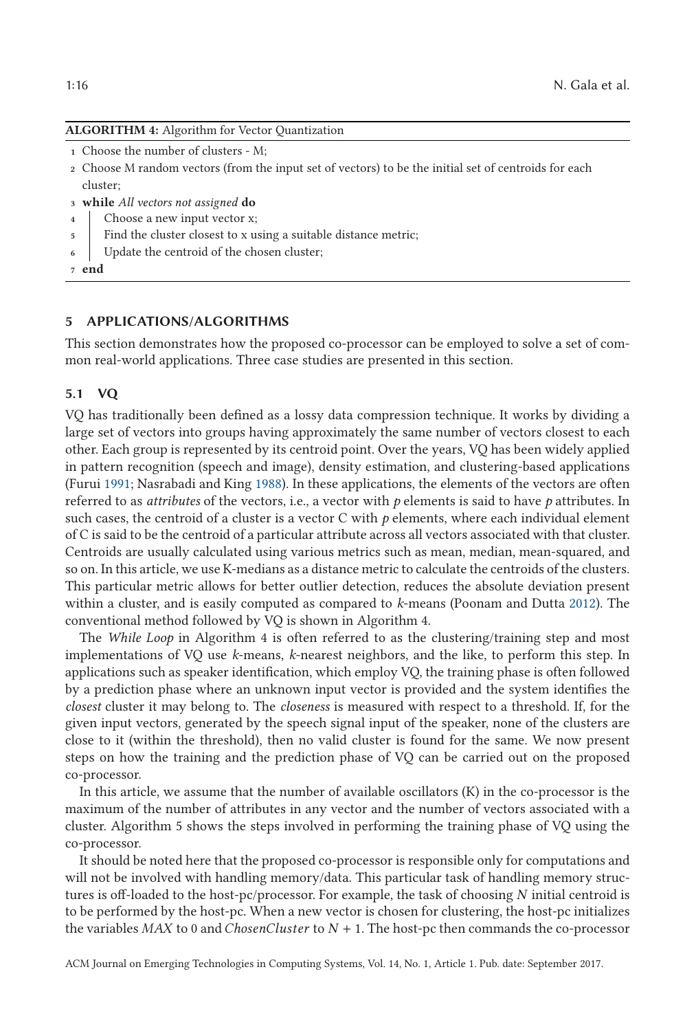#### ALGORITHM 4: Algorithm for Vector Quantization

- <sup>1</sup> Choose the number of clusters M;
- <sup>2</sup> Choose M random vectors (from the input set of vectors) to be the initial set of centroids for each cluster;
- <sup>3</sup> while All vectors not assigned do
- <sup>4</sup> Choose a new input vector x;
- 5 Find the cluster closest to x using a suitable distance metric;
- <sup>6</sup> Update the centroid of the chosen cluster;
- <sup>7</sup> end

# 5 APPLICATIONS/ALGORITHMS

This section demonstrates how the proposed co-processor can be employed to solve a set of common real-world applications. Three case studies are presented in this section.

### 5.1 VQ

VQ has traditionally been defined as a lossy data compression technique. It works by dividing a large set of vectors into groups having approximately the same number of vectors closest to each other. Each group is represented by its centroid point. Over the years, VQ has been widely applied in pattern recognition (speech and image), density estimation, and clustering-based applications (Furui 1991; Nasrabadi and King 1988). In these applications, the elements of the vectors are often referred to as *attributes* of the vectors, i.e., a vector with p elements is said to have p attributes. In such cases, the centroid of a cluster is a vector C with  $p$  elements, where each individual element of C is said to be the centroid of a particular attribute across all vectors associated with that cluster. Centroids are usually calculated using various metrics such as mean, median, mean-squared, and so on. In this article, we use K-medians as a distance metric to calculate the centroids of the clusters. This particular metric allows for better outlier detection, reduces the absolute deviation present within a cluster, and is easily computed as compared to k-means (Poonam and Dutta 2012). The conventional method followed by VQ is shown in Algorithm 4.

The While Loop in Algorithm 4 is often referred to as the clustering/training step and most implementations of VQ use k-means, k-nearest neighbors, and the like, to perform this step. In applications such as speaker identification, which employ VQ, the training phase is often followed by a prediction phase where an unknown input vector is provided and the system identifies the closest cluster it may belong to. The closeness is measured with respect to a threshold. If, for the given input vectors, generated by the speech signal input of the speaker, none of the clusters are close to it (within the threshold), then no valid cluster is found for the same. We now present steps on how the training and the prediction phase of VQ can be carried out on the proposed co-processor.

In this article, we assume that the number of available oscillators (K) in the co-processor is the maximum of the number of attributes in any vector and the number of vectors associated with a cluster. Algorithm 5 shows the steps involved in performing the training phase of VQ using the co-processor.

It should be noted here that the proposed co-processor is responsible only for computations and will not be involved with handling memory/data. This particular task of handling memory structures is off-loaded to the host-pc/processor. For example, the task of choosing N initial centroid is to be performed by the host-pc. When a new vector is chosen for clustering, the host-pc initializes the variables MAX to 0 and ChosenCluster to  $N + 1$ . The host-pc then commands the co-processor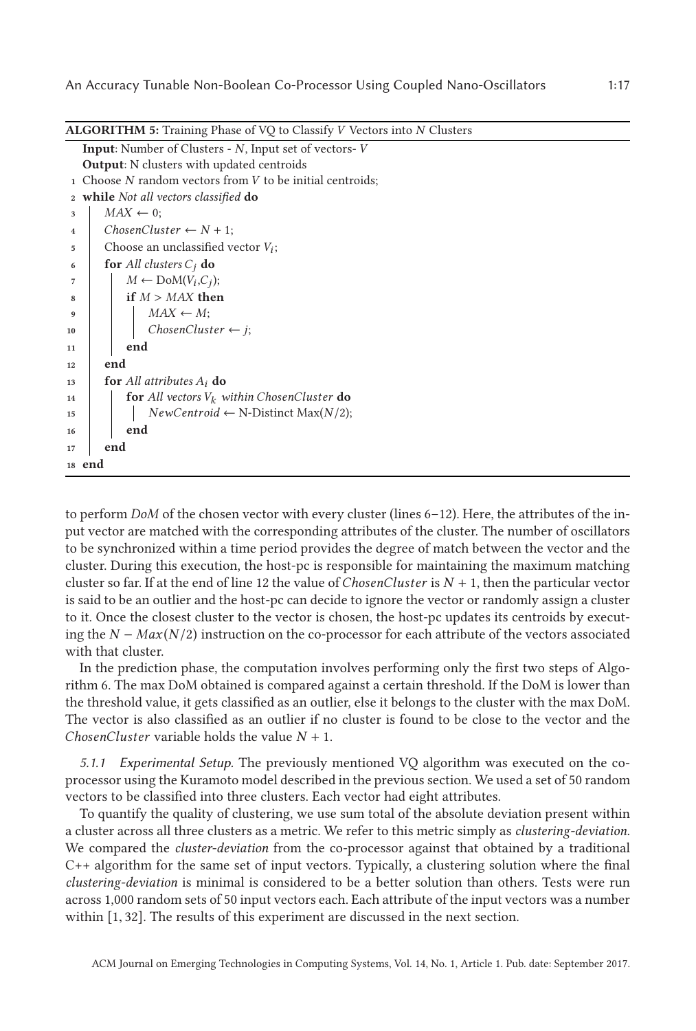| <b>ALGORITHM 5:</b> Training Phase of VQ to Classify V Vectors into N Clusters    |  |  |
|-----------------------------------------------------------------------------------|--|--|
| <b>Input:</b> Number of Clusters $\text{-} N$ , Input set of vectors $\text{-} V$ |  |  |
| <b>Output:</b> N clusters with updated centroids                                  |  |  |
| $_1$ Choose N random vectors from V to be initial centroids;                      |  |  |
| 2 while Not all vectors classified do                                             |  |  |
| $MAX \leftarrow 0;$<br>3                                                          |  |  |
| $ChosenCluster \leftarrow N + 1;$<br>$\overline{4}$                               |  |  |
| Choose an unclassified vector $V_i$ ;<br>5                                        |  |  |
| <b>for</b> All clusters $C_i$ <b>do</b>                                           |  |  |
| $M \leftarrow \text{DoM}(V_i, C_i);$                                              |  |  |
| if $M > MAX$ then<br>8                                                            |  |  |
| $MAX \leftarrow M$ ;<br>9                                                         |  |  |
| $ChosenCluster \leftarrow i$ ;<br>10                                              |  |  |
| end<br>11                                                                         |  |  |
| end<br>12                                                                         |  |  |
| <b>for</b> All attributes $A_i$ <b>do</b><br>13                                   |  |  |
| <b>for</b> All vectors $V_k$ within ChosenCluster <b>do</b><br>14                 |  |  |
| $NewCentroid \leftarrow N-Distinct Max(N/2);$<br>15                               |  |  |
| end<br>16                                                                         |  |  |
| end<br>17                                                                         |  |  |
| 18 end                                                                            |  |  |

to perform DoM of the chosen vector with every cluster (lines 6–12). Here, the attributes of the input vector are matched with the corresponding attributes of the cluster. The number of oscillators to be synchronized within a time period provides the degree of match between the vector and the cluster. During this execution, the host-pc is responsible for maintaining the maximum matching cluster so far. If at the end of line 12 the value of *ChosenCluster* is  $N + 1$ , then the particular vector is said to be an outlier and the host-pc can decide to ignore the vector or randomly assign a cluster to it. Once the closest cluster to the vector is chosen, the host-pc updates its centroids by executing the  $N - Max(N/2)$  instruction on the co-processor for each attribute of the vectors associated with that cluster.

In the prediction phase, the computation involves performing only the first two steps of Algorithm 6. The max DoM obtained is compared against a certain threshold. If the DoM is lower than the threshold value, it gets classified as an outlier, else it belongs to the cluster with the max DoM. The vector is also classified as an outlier if no cluster is found to be close to the vector and the *ChosenCluster* variable holds the value  $N + 1$ .

*5.1.1 Experimental Setup.* The previously mentioned VQ algorithm was executed on the coprocessor using the Kuramoto model described in the previous section. We used a set of 50 random vectors to be classified into three clusters. Each vector had eight attributes.

To quantify the quality of clustering, we use sum total of the absolute deviation present within a cluster across all three clusters as a metric. We refer to this metric simply as clustering-deviation. We compared the cluster-deviation from the co-processor against that obtained by a traditional C++ algorithm for the same set of input vectors. Typically, a clustering solution where the final clustering-deviation is minimal is considered to be a better solution than others. Tests were run across 1,000 random sets of 50 input vectors each. Each attribute of the input vectors was a number within [1, 32]. The results of this experiment are discussed in the next section.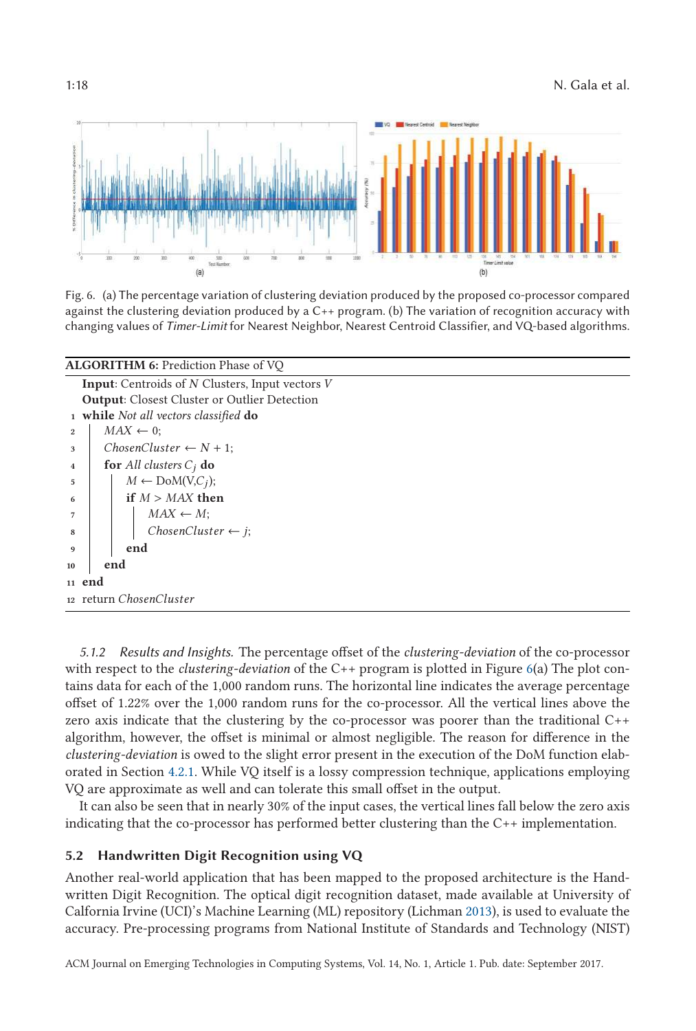



Fig. 6. (a) The percentage variation of clustering deviation produced by the proposed co-processor compared against the clustering deviation produced by a C++ program. (b) The variation of recognition accuracy with changing values of *Timer-Limit* for Nearest Neighbor, Nearest Centroid Classifier, and VQ-based algorithms.

*5.1.2 Results and Insights.* The percentage offset of the clustering-deviation of the co-processor with respect to the *clustering-deviation* of the  $C_{++}$  program is plotted in Figure 6(a) The plot contains data for each of the 1,000 random runs. The horizontal line indicates the average percentage offset of 1.22% over the 1,000 random runs for the co-processor. All the vertical lines above the zero axis indicate that the clustering by the co-processor was poorer than the traditional C++ algorithm, however, the offset is minimal or almost negligible. The reason for difference in the clustering-deviation is owed to the slight error present in the execution of the DoM function elaborated in Section 4.2.1. While VQ itself is a lossy compression technique, applications employing VQ are approximate as well and can tolerate this small offset in the output.

It can also be seen that in nearly 30% of the input cases, the vertical lines fall below the zero axis indicating that the co-processor has performed better clustering than the C++ implementation.

# 5.2 Handwritten Digit Recognition using VQ

Another real-world application that has been mapped to the proposed architecture is the Handwritten Digit Recognition. The optical digit recognition dataset, made available at University of Calfornia Irvine (UCI)'s Machine Learning (ML) repository (Lichman 2013), is used to evaluate the accuracy. Pre-processing programs from National Institute of Standards and Technology (NIST)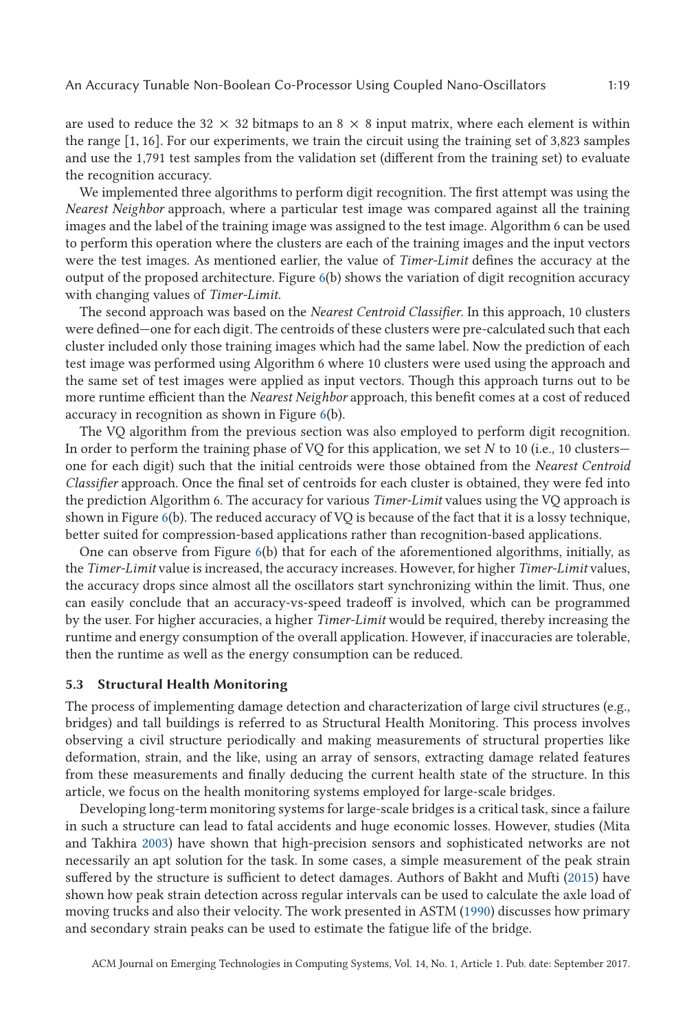are used to reduce the 32  $\times$  32 bitmaps to an 8  $\times$  8 input matrix, where each element is within the range [1, 16]. For our experiments, we train the circuit using the training set of 3,823 samples and use the 1,791 test samples from the validation set (different from the training set) to evaluate the recognition accuracy.

We implemented three algorithms to perform digit recognition. The first attempt was using the Nearest Neighbor approach, where a particular test image was compared against all the training images and the label of the training image was assigned to the test image. Algorithm 6 can be used to perform this operation where the clusters are each of the training images and the input vectors were the test images. As mentioned earlier, the value of Timer-Limit defines the accuracy at the output of the proposed architecture. Figure 6(b) shows the variation of digit recognition accuracy with changing values of Timer-Limit.

The second approach was based on the Nearest Centroid Classifier. In this approach, 10 clusters were defined—one for each digit. The centroids of these clusters were pre-calculated such that each cluster included only those training images which had the same label. Now the prediction of each test image was performed using Algorithm 6 where 10 clusters were used using the approach and the same set of test images were applied as input vectors. Though this approach turns out to be more runtime efficient than the Nearest Neighbor approach, this benefit comes at a cost of reduced accuracy in recognition as shown in Figure 6(b).

The VQ algorithm from the previous section was also employed to perform digit recognition. In order to perform the training phase of VQ for this application, we set  $N$  to 10 (i.e., 10 clusters one for each digit) such that the initial centroids were those obtained from the Nearest Centroid Classifier approach. Once the final set of centroids for each cluster is obtained, they were fed into the prediction Algorithm 6. The accuracy for various Timer-Limit values using the VQ approach is shown in Figure 6(b). The reduced accuracy of VQ is because of the fact that it is a lossy technique, better suited for compression-based applications rather than recognition-based applications.

One can observe from Figure 6(b) that for each of the aforementioned algorithms, initially, as the Timer-Limit value is increased, the accuracy increases. However, for higher Timer-Limit values, the accuracy drops since almost all the oscillators start synchronizing within the limit. Thus, one can easily conclude that an accuracy-vs-speed tradeoff is involved, which can be programmed by the user. For higher accuracies, a higher Timer-Limit would be required, thereby increasing the runtime and energy consumption of the overall application. However, if inaccuracies are tolerable, then the runtime as well as the energy consumption can be reduced.

### 5.3 Structural Health Monitoring

The process of implementing damage detection and characterization of large civil structures (e.g., bridges) and tall buildings is referred to as Structural Health Monitoring. This process involves observing a civil structure periodically and making measurements of structural properties like deformation, strain, and the like, using an array of sensors, extracting damage related features from these measurements and finally deducing the current health state of the structure. In this article, we focus on the health monitoring systems employed for large-scale bridges.

Developing long-term monitoring systems for large-scale bridges is a critical task, since a failure in such a structure can lead to fatal accidents and huge economic losses. However, studies (Mita and Takhira 2003) have shown that high-precision sensors and sophisticated networks are not necessarily an apt solution for the task. In some cases, a simple measurement of the peak strain suffered by the structure is sufficient to detect damages. Authors of Bakht and Mufti (2015) have shown how peak strain detection across regular intervals can be used to calculate the axle load of moving trucks and also their velocity. The work presented in ASTM (1990) discusses how primary and secondary strain peaks can be used to estimate the fatigue life of the bridge.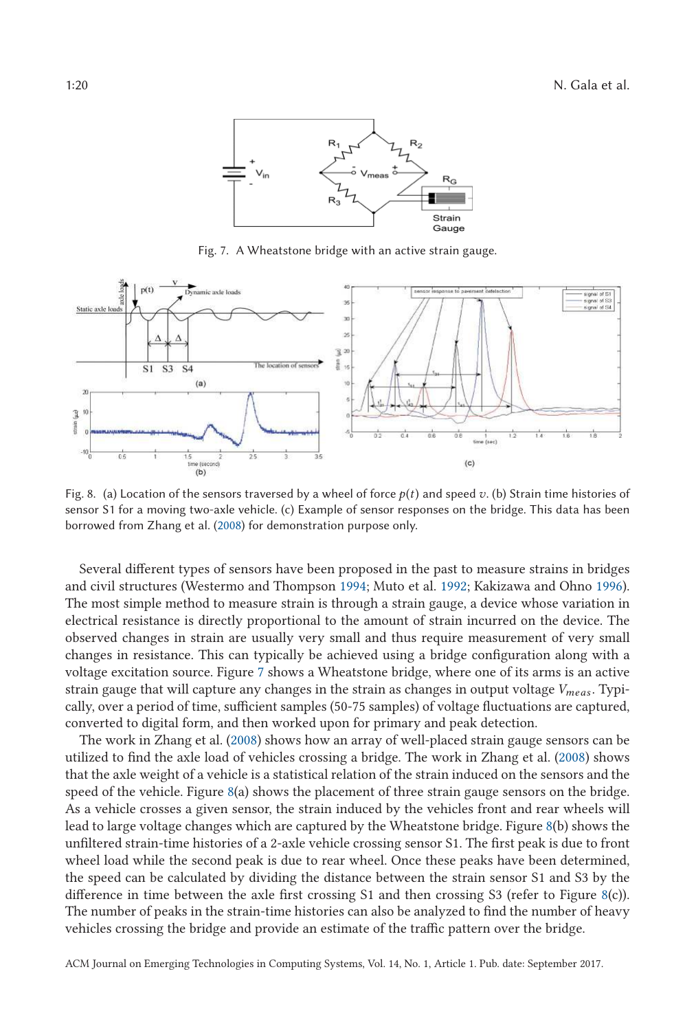

Fig. 7. A Wheatstone bridge with an active strain gauge.



Fig. 8. (a) Location of the sensors traversed by a wheel of force  $p(t)$  and speed v. (b) Strain time histories of sensor S1 for a moving two-axle vehicle. (c) Example of sensor responses on the bridge. This data has been borrowed from Zhang et al. (2008) for demonstration purpose only.

Several different types of sensors have been proposed in the past to measure strains in bridges and civil structures (Westermo and Thompson 1994; Muto et al. 1992; Kakizawa and Ohno 1996). The most simple method to measure strain is through a strain gauge, a device whose variation in electrical resistance is directly proportional to the amount of strain incurred on the device. The observed changes in strain are usually very small and thus require measurement of very small changes in resistance. This can typically be achieved using a bridge configuration along with a voltage excitation source. Figure 7 shows a Wheatstone bridge, where one of its arms is an active strain gauge that will capture any changes in the strain as changes in output voltage  $V_{meas}$ . Typically, over a period of time, sufficient samples (50-75 samples) of voltage fluctuations are captured, converted to digital form, and then worked upon for primary and peak detection.

The work in Zhang et al. (2008) shows how an array of well-placed strain gauge sensors can be utilized to find the axle load of vehicles crossing a bridge. The work in Zhang et al. (2008) shows that the axle weight of a vehicle is a statistical relation of the strain induced on the sensors and the speed of the vehicle. Figure 8(a) shows the placement of three strain gauge sensors on the bridge. As a vehicle crosses a given sensor, the strain induced by the vehicles front and rear wheels will lead to large voltage changes which are captured by the Wheatstone bridge. Figure 8(b) shows the unfiltered strain-time histories of a 2-axle vehicle crossing sensor S1. The first peak is due to front wheel load while the second peak is due to rear wheel. Once these peaks have been determined, the speed can be calculated by dividing the distance between the strain sensor S1 and S3 by the difference in time between the axle first crossing S1 and then crossing S3 (refer to Figure 8(c)). The number of peaks in the strain-time histories can also be analyzed to find the number of heavy vehicles crossing the bridge and provide an estimate of the traffic pattern over the bridge.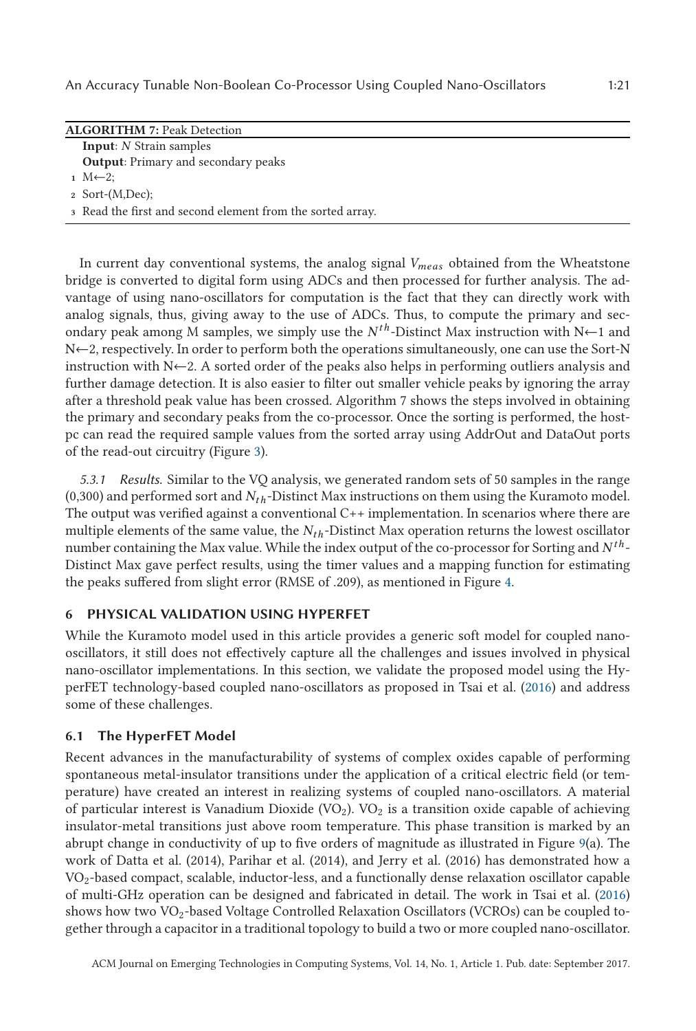| <b>ALGORITHM 7: Peak Detection</b>                         |  |  |  |
|------------------------------------------------------------|--|--|--|
| <b>Input:</b> N Strain samples                             |  |  |  |
| <b>Output:</b> Primary and secondary peaks                 |  |  |  |
| $1 M \leftarrow 2$ ;                                       |  |  |  |
| $2$ Sort-(M,Dec);                                          |  |  |  |
| 3 Read the first and second element from the sorted array. |  |  |  |
|                                                            |  |  |  |

In current day conventional systems, the analog signal  $V_{meas}$  obtained from the Wheatstone bridge is converted to digital form using ADCs and then processed for further analysis. The advantage of using nano-oscillators for computation is the fact that they can directly work with analog signals, thus, giving away to the use of ADCs. Thus, to compute the primary and secondary peak among M samples, we simply use the  $N^{th}$ -Distinct Max instruction with N $\leftarrow$ 1 and N←2, respectively. In order to perform both the operations simultaneously, one can use the Sort-N instruction with N←2. A sorted order of the peaks also helps in performing outliers analysis and further damage detection. It is also easier to filter out smaller vehicle peaks by ignoring the array after a threshold peak value has been crossed. Algorithm 7 shows the steps involved in obtaining the primary and secondary peaks from the co-processor. Once the sorting is performed, the hostpc can read the required sample values from the sorted array using AddrOut and DataOut ports of the read-out circuitry (Figure 3).

*5.3.1 Results.* Similar to the VQ analysis, we generated random sets of 50 samples in the range  $(0,300)$  and performed sort and  $N_{th}$ -Distinct Max instructions on them using the Kuramoto model. The output was verified against a conventional  $C_{++}$  implementation. In scenarios where there are multiple elements of the same value, the  $N_{th}$ -Distinct Max operation returns the lowest oscillator number containing the Max value. While the index output of the co-processor for Sorting and  $N^{th}$ -Distinct Max gave perfect results, using the timer values and a mapping function for estimating the peaks suffered from slight error (RMSE of .209), as mentioned in Figure 4.

# 6 PHYSICAL VALIDATION USING HYPERFET

While the Kuramoto model used in this article provides a generic soft model for coupled nanooscillators, it still does not effectively capture all the challenges and issues involved in physical nano-oscillator implementations. In this section, we validate the proposed model using the HyperFET technology-based coupled nano-oscillators as proposed in Tsai et al. (2016) and address some of these challenges.

# 6.1 The HyperFET Model

Recent advances in the manufacturability of systems of complex oxides capable of performing spontaneous metal-insulator transitions under the application of a critical electric field (or temperature) have created an interest in realizing systems of coupled nano-oscillators. A material of particular interest is Vanadium Dioxide (VO<sub>2</sub>). VO<sub>2</sub> is a transition oxide capable of achieving insulator-metal transitions just above room temperature. This phase transition is marked by an abrupt change in conductivity of up to five orders of magnitude as illustrated in Figure 9(a). The work of Datta et al. (2014), Parihar et al. (2014), and Jerry et al. (2016) has demonstrated how a VO2-based compact, scalable, inductor-less, and a functionally dense relaxation oscillator capable of multi-GHz operation can be designed and fabricated in detail. The work in Tsai et al. (2016) shows how two VO2-based Voltage Controlled Relaxation Oscillators (VCROs) can be coupled together through a capacitor in a traditional topology to build a two or more coupled nano-oscillator.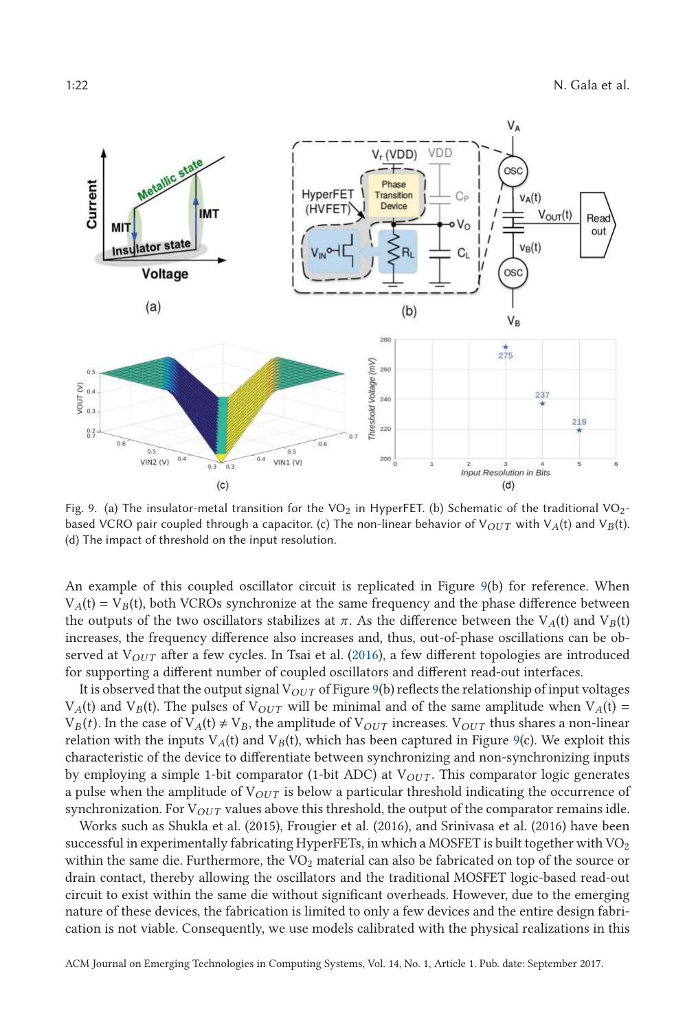

Fig. 9. (a) The insulator-metal transition for the VO<sub>2</sub> in HyperFET. (b) Schematic of the traditional VO<sub>2</sub>based VCRO pair coupled through a capacitor. (c) The non-linear behavior of  $V_{OUT}$  with  $V_A(t)$  and  $V_B(t)$ . (d) The impact of threshold on the input resolution.

An example of this coupled oscillator circuit is replicated in Figure 9(b) for reference. When  $V_A(t) = V_B(t)$ , both VCROs synchronize at the same frequency and the phase difference between the outputs of the two oscillators stabilizes at  $\pi$ . As the difference between the V<sub>A</sub>(t) and V<sub>B</sub>(t) increases, the frequency difference also increases and, thus, out-of-phase oscillations can be observed at  $V_{OUT}$  after a few cycles. In Tsai et al. (2016), a few different topologies are introduced for supporting a different number of coupled oscillators and different read-out interfaces.

It is observed that the output signal  $V_{OUT}$  of Figure 9(b) reflects the relationship of input voltages  $V_A(t)$  and  $V_B(t)$ . The pulses of  $V_{OUT}$  will be minimal and of the same amplitude when  $V_A(t)$  =  $V_B(t)$ . In the case of  $V_A(t) \neq V_B$ , the amplitude of  $V_{OUT}$  increases.  $V_{OUT}$  thus shares a non-linear relation with the inputs  $V_A(t)$  and  $V_B(t)$ , which has been captured in Figure 9(c). We exploit this characteristic of the device to differentiate between synchronizing and non-synchronizing inputs by employing a simple 1-bit comparator (1-bit ADC) at  $V_{OUT}$ . This comparator logic generates a pulse when the amplitude of  $V_{OUT}$  is below a particular threshold indicating the occurrence of synchronization. For  $V_{OUT}$  values above this threshold, the output of the comparator remains idle.

Works such as Shukla et al. (2015), Frougier et al. (2016), and Srinivasa et al. (2016) have been successful in experimentally fabricating HyperFETs, in which a MOSFET is built together with  $VO<sub>2</sub>$ within the same die. Furthermore, the  $VO<sub>2</sub>$  material can also be fabricated on top of the source or drain contact, thereby allowing the oscillators and the traditional MOSFET logic-based read-out circuit to exist within the same die without significant overheads. However, due to the emerging nature of these devices, the fabrication is limited to only a few devices and the entire design fabrication is not viable. Consequently, we use models calibrated with the physical realizations in this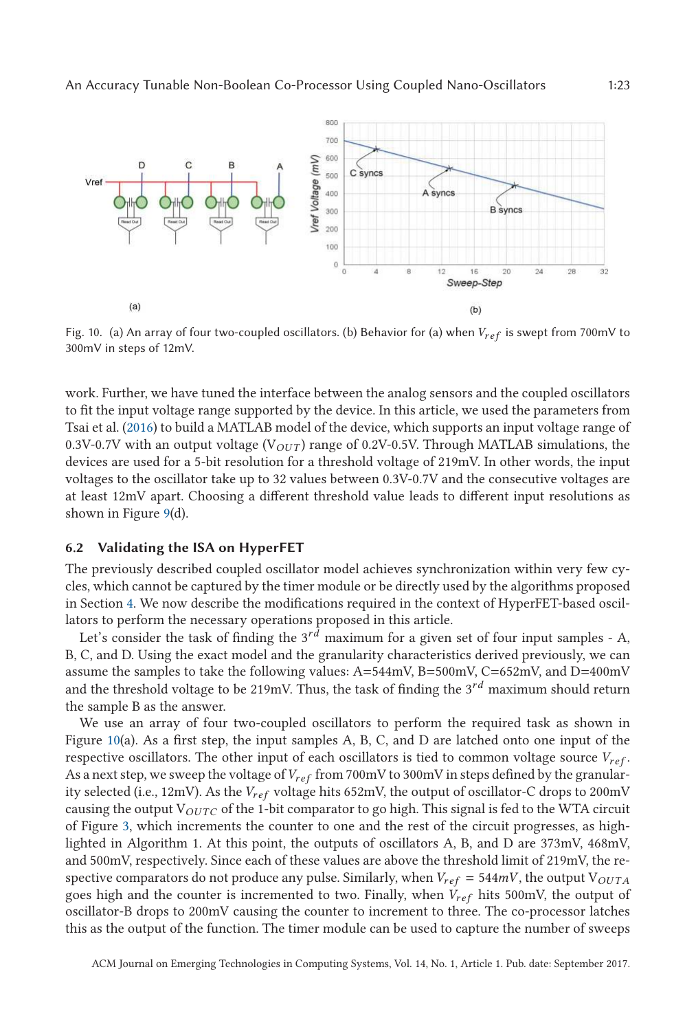

Fig. 10. (a) An array of four two-coupled oscillators. (b) Behavior for (a) when  $V_{ref}$  is swept from 700mV to 300mV in steps of 12mV.

work. Further, we have tuned the interface between the analog sensors and the coupled oscillators to fit the input voltage range supported by the device. In this article, we used the parameters from Tsai et al. (2016) to build a MATLAB model of the device, which supports an input voltage range of 0.3V-0.7V with an output voltage ( $V_{OUT}$ ) range of 0.2V-0.5V. Through MATLAB simulations, the devices are used for a 5-bit resolution for a threshold voltage of 219mV. In other words, the input voltages to the oscillator take up to 32 values between 0.3V-0.7V and the consecutive voltages are at least 12mV apart. Choosing a different threshold value leads to different input resolutions as shown in Figure 9(d).

### 6.2 Validating the ISA on HyperFET

The previously described coupled oscillator model achieves synchronization within very few cycles, which cannot be captured by the timer module or be directly used by the algorithms proposed in Section 4. We now describe the modifications required in the context of HyperFET-based oscillators to perform the necessary operations proposed in this article.

Let's consider the task of finding the  $3^{rd}$  maximum for a given set of four input samples - A, B, C, and D. Using the exact model and the granularity characteristics derived previously, we can assume the samples to take the following values: A=544mV, B=500mV, C=652mV, and D=400mV and the threshold voltage to be 219mV. Thus, the task of finding the  $3^{rd}$  maximum should return the sample B as the answer.

We use an array of four two-coupled oscillators to perform the required task as shown in Figure 10(a). As a first step, the input samples A, B, C, and D are latched onto one input of the respective oscillators. The other input of each oscillators is tied to common voltage source  $V_{ref}$ . As a next step, we sweep the voltage of  $V_{ref}$  from 700mV to 300mV in steps defined by the granularity selected (i.e., 12mV). As the  $V_{ref}$  voltage hits 652mV, the output of oscillator-C drops to 200mV causing the output  $V_{OUTC}$  of the 1-bit comparator to go high. This signal is fed to the WTA circuit of Figure 3, which increments the counter to one and the rest of the circuit progresses, as highlighted in Algorithm 1. At this point, the outputs of oscillators A, B, and D are 373mV, 468mV, and 500mV, respectively. Since each of these values are above the threshold limit of 219mV, the respective comparators do not produce any pulse. Similarly, when  $V_{ref} = 544mV$ , the output  $V_{OUTA}$ goes high and the counter is incremented to two. Finally, when  $V_{ref}$  hits 500mV, the output of oscillator-B drops to 200mV causing the counter to increment to three. The co-processor latches this as the output of the function. The timer module can be used to capture the number of sweeps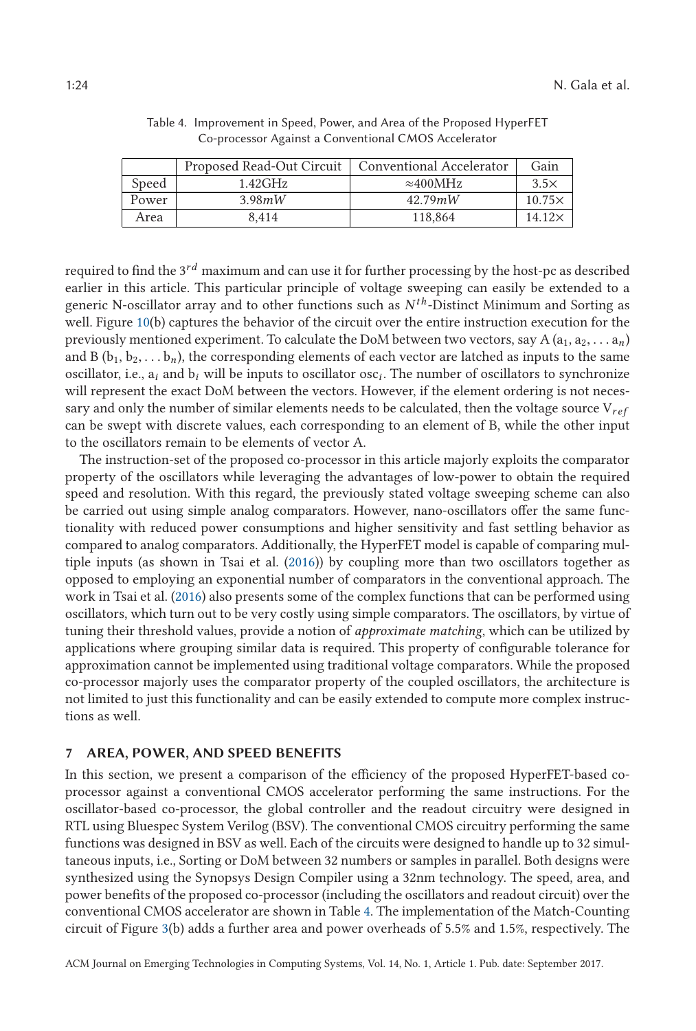|       | Proposed Read-Out Circuit | Conventional Accelerator | Gain           |
|-------|---------------------------|--------------------------|----------------|
| Speed | $1.42\text{GHz}$          | $\approx 400$ MHz        | $3.5\times$    |
| Power | 3.98mW                    | 42.79mW                  | $10.75\times$  |
| Area  | 8.414                     | 118,864                  | 14.12 $\times$ |

Table 4. Improvement in Speed, Power, and Area of the Proposed HyperFET Co-processor Against a Conventional CMOS Accelerator

required to find the  $3^{rd}$  maximum and can use it for further processing by the host-pc as described earlier in this article. This particular principle of voltage sweeping can easily be extended to a generic N-oscillator array and to other functions such as  $N^{th}$ -Distinct Minimum and Sorting as well. Figure 10(b) captures the behavior of the circuit over the entire instruction execution for the previously mentioned experiment. To calculate the DoM between two vectors, say A  $(a_1, a_2, \ldots, a_n)$ and B  $(b_1, b_2, \ldots, b_n)$ , the corresponding elements of each vector are latched as inputs to the same oscillator, i.e.,  $a_i$  and  $b_i$  will be inputs to oscillator osc<sub>i</sub>. The number of oscillators to synchronize will represent the exact DoM between the vectors. However, if the element ordering is not necessary and only the number of similar elements needs to be calculated, then the voltage source  $V_{ref}$ can be swept with discrete values, each corresponding to an element of B, while the other input to the oscillators remain to be elements of vector A.

The instruction-set of the proposed co-processor in this article majorly exploits the comparator property of the oscillators while leveraging the advantages of low-power to obtain the required speed and resolution. With this regard, the previously stated voltage sweeping scheme can also be carried out using simple analog comparators. However, nano-oscillators offer the same functionality with reduced power consumptions and higher sensitivity and fast settling behavior as compared to analog comparators. Additionally, the HyperFET model is capable of comparing multiple inputs (as shown in Tsai et al. (2016)) by coupling more than two oscillators together as opposed to employing an exponential number of comparators in the conventional approach. The work in Tsai et al. (2016) also presents some of the complex functions that can be performed using oscillators, which turn out to be very costly using simple comparators. The oscillators, by virtue of tuning their threshold values, provide a notion of approximate matching, which can be utilized by applications where grouping similar data is required. This property of configurable tolerance for approximation cannot be implemented using traditional voltage comparators. While the proposed co-processor majorly uses the comparator property of the coupled oscillators, the architecture is not limited to just this functionality and can be easily extended to compute more complex instructions as well.

# 7 AREA, POWER, AND SPEED BENEFITS

In this section, we present a comparison of the efficiency of the proposed HyperFET-based coprocessor against a conventional CMOS accelerator performing the same instructions. For the oscillator-based co-processor, the global controller and the readout circuitry were designed in RTL using Bluespec System Verilog (BSV). The conventional CMOS circuitry performing the same functions was designed in BSV as well. Each of the circuits were designed to handle up to 32 simultaneous inputs, i.e., Sorting or DoM between 32 numbers or samples in parallel. Both designs were synthesized using the Synopsys Design Compiler using a 32nm technology. The speed, area, and power benefits of the proposed co-processor (including the oscillators and readout circuit) over the conventional CMOS accelerator are shown in Table 4. The implementation of the Match-Counting circuit of Figure 3(b) adds a further area and power overheads of 5.5% and 1.5%, respectively. The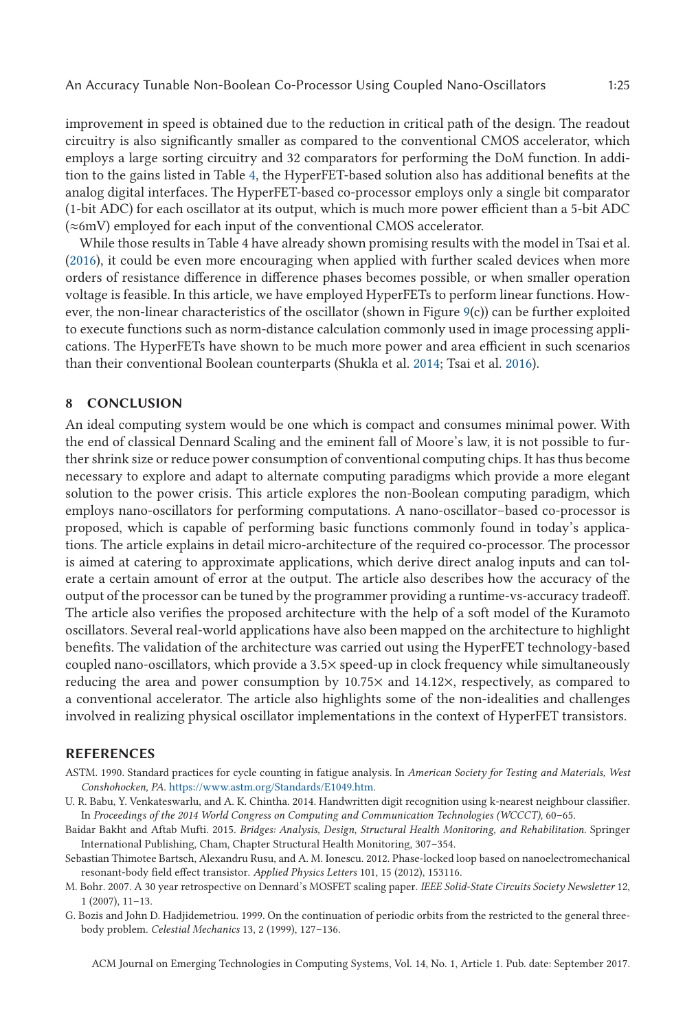improvement in speed is obtained due to the reduction in critical path of the design. The readout circuitry is also significantly smaller as compared to the conventional CMOS accelerator, which employs a large sorting circuitry and 32 comparators for performing the DoM function. In addition to the gains listed in Table 4, the HyperFET-based solution also has additional benefits at the analog digital interfaces. The HyperFET-based co-processor employs only a single bit comparator (1-bit ADC) for each oscillator at its output, which is much more power efficient than a 5-bit ADC (≈6mV) employed for each input of the conventional CMOS accelerator.

While those results in Table 4 have already shown promising results with the model in Tsai et al. (2016), it could be even more encouraging when applied with further scaled devices when more orders of resistance difference in difference phases becomes possible, or when smaller operation voltage is feasible. In this article, we have employed HyperFETs to perform linear functions. However, the non-linear characteristics of the oscillator (shown in Figure 9(c)) can be further exploited to execute functions such as norm-distance calculation commonly used in image processing applications. The HyperFETs have shown to be much more power and area efficient in such scenarios than their conventional Boolean counterparts (Shukla et al. 2014; Tsai et al. 2016).

# 8 CONCLUSION

An ideal computing system would be one which is compact and consumes minimal power. With the end of classical Dennard Scaling and the eminent fall of Moore's law, it is not possible to further shrink size or reduce power consumption of conventional computing chips. It has thus become necessary to explore and adapt to alternate computing paradigms which provide a more elegant solution to the power crisis. This article explores the non-Boolean computing paradigm, which employs nano-oscillators for performing computations. A nano-oscillator–based co-processor is proposed, which is capable of performing basic functions commonly found in today's applications. The article explains in detail micro-architecture of the required co-processor. The processor is aimed at catering to approximate applications, which derive direct analog inputs and can tolerate a certain amount of error at the output. The article also describes how the accuracy of the output of the processor can be tuned by the programmer providing a runtime-vs-accuracy tradeoff. The article also verifies the proposed architecture with the help of a soft model of the Kuramoto oscillators. Several real-world applications have also been mapped on the architecture to highlight benefits. The validation of the architecture was carried out using the HyperFET technology-based coupled nano-oscillators, which provide a 3.5× speed-up in clock frequency while simultaneously reducing the area and power consumption by 10.75× and 14.12×, respectively, as compared to a conventional accelerator. The article also highlights some of the non-idealities and challenges involved in realizing physical oscillator implementations in the context of HyperFET transistors.

# REFERENCES

- ASTM. 1990. Standard practices for cycle counting in fatigue analysis. In American Society for Testing and Materials, West Conshohocken, PA. https://www.astm.org/Standards/E1049.htm.
- U. R. Babu, Y. Venkateswarlu, and A. K. Chintha. 2014. Handwritten digit recognition using k-nearest neighbour classifier. In Proceedings of the 2014 World Congress on Computing and Communication Technologies (WCCCT), 60–65.
- Baidar Bakht and Aftab Mufti. 2015. Bridges: Analysis, Design, Structural Health Monitoring, and Rehabilitation. Springer International Publishing, Cham, Chapter Structural Health Monitoring, 307–354.
- Sebastian Thimotee Bartsch, Alexandru Rusu, and A. M. Ionescu. 2012. Phase-locked loop based on nanoelectromechanical resonant-body field effect transistor. Applied Physics Letters 101, 15 (2012), 153116.
- M. Bohr. 2007. A 30 year retrospective on Dennard's MOSFET scaling paper. IEEE Solid-State Circuits Society Newsletter 12, 1 (2007), 11–13.
- G. Bozis and John D. Hadjidemetriou. 1999. On the continuation of periodic orbits from the restricted to the general threebody problem. Celestial Mechanics 13, 2 (1999), 127–136.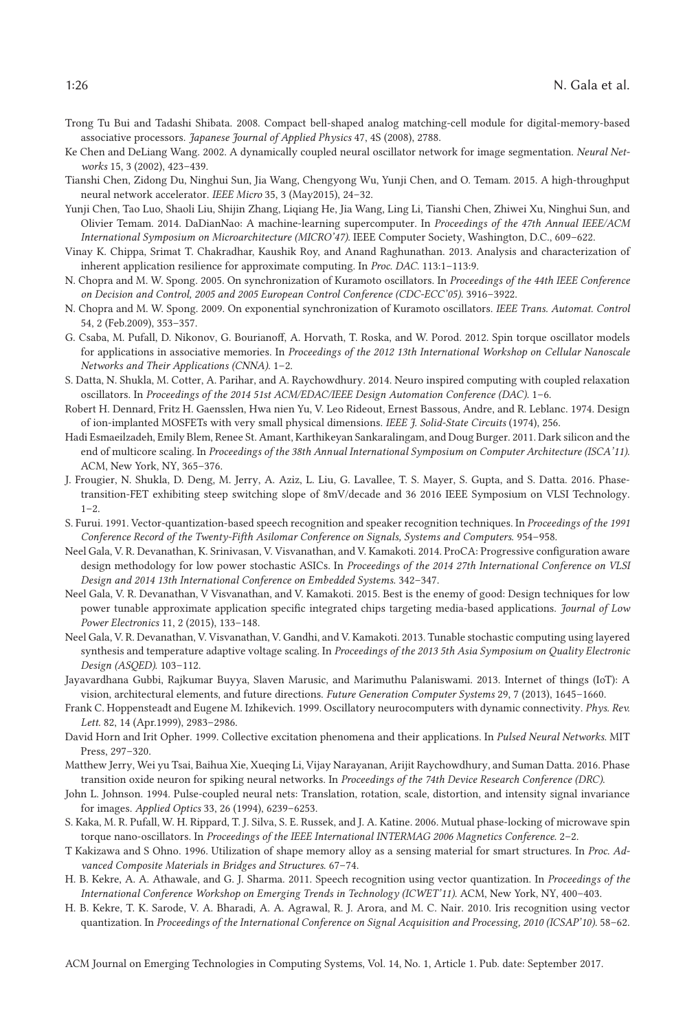- Trong Tu Bui and Tadashi Shibata. 2008. Compact bell-shaped analog matching-cell module for digital-memory-based associative processors. Japanese Journal of Applied Physics 47, 4S (2008), 2788.
- Ke Chen and DeLiang Wang. 2002. A dynamically coupled neural oscillator network for image segmentation. Neural Networks 15, 3 (2002), 423–439.
- Tianshi Chen, Zidong Du, Ninghui Sun, Jia Wang, Chengyong Wu, Yunji Chen, and O. Temam. 2015. A high-throughput neural network accelerator. IEEE Micro 35, 3 (May2015), 24–32.
- Yunji Chen, Tao Luo, Shaoli Liu, Shijin Zhang, Liqiang He, Jia Wang, Ling Li, Tianshi Chen, Zhiwei Xu, Ninghui Sun, and Olivier Temam. 2014. DaDianNao: A machine-learning supercomputer. In Proceedings of the 47th Annual IEEE/ACM International Symposium on Microarchitecture (MICRO'47). IEEE Computer Society, Washington, D.C., 609–622.
- Vinay K. Chippa, Srimat T. Chakradhar, Kaushik Roy, and Anand Raghunathan. 2013. Analysis and characterization of inherent application resilience for approximate computing. In Proc. DAC. 113:1–113:9.
- N. Chopra and M. W. Spong. 2005. On synchronization of Kuramoto oscillators. In Proceedings of the 44th IEEE Conference on Decision and Control, 2005 and 2005 European Control Conference (CDC-ECC'05). 3916–3922.
- N. Chopra and M. W. Spong. 2009. On exponential synchronization of Kuramoto oscillators. IEEE Trans. Automat. Control 54, 2 (Feb.2009), 353–357.
- G. Csaba, M. Pufall, D. Nikonov, G. Bourianoff, A. Horvath, T. Roska, and W. Porod. 2012. Spin torque oscillator models for applications in associative memories. In Proceedings of the 2012 13th International Workshop on Cellular Nanoscale Networks and Their Applications (CNNA). 1–2.
- S. Datta, N. Shukla, M. Cotter, A. Parihar, and A. Raychowdhury. 2014. Neuro inspired computing with coupled relaxation oscillators. In Proceedings of the 2014 51st ACM/EDAC/IEEE Design Automation Conference (DAC). 1–6.
- Robert H. Dennard, Fritz H. Gaensslen, Hwa nien Yu, V. Leo Rideout, Ernest Bassous, Andre, and R. Leblanc. 1974. Design of ion-implanted MOSFETs with very small physical dimensions. IEEE J. Solid-State Circuits (1974), 256.
- Hadi Esmaeilzadeh, Emily Blem, Renee St. Amant, Karthikeyan Sankaralingam, and Doug Burger. 2011. Dark silicon and the end of multicore scaling. In Proceedings of the 38th Annual International Symposium on Computer Architecture (ISCA'11). ACM, New York, NY, 365–376.
- J. Frougier, N. Shukla, D. Deng, M. Jerry, A. Aziz, L. Liu, G. Lavallee, T. S. Mayer, S. Gupta, and S. Datta. 2016. Phasetransition-FET exhibiting steep switching slope of 8mV/decade and 36 2016 IEEE Symposium on VLSI Technology.  $1 - 2.$
- S. Furui. 1991. Vector-quantization-based speech recognition and speaker recognition techniques. In Proceedings of the 1991 Conference Record of the Twenty-Fifth Asilomar Conference on Signals, Systems and Computers. 954–958.
- Neel Gala, V. R. Devanathan, K. Srinivasan, V. Visvanathan, and V. Kamakoti. 2014. ProCA: Progressive configuration aware design methodology for low power stochastic ASICs. In Proceedings of the 2014 27th International Conference on VLSI Design and 2014 13th International Conference on Embedded Systems. 342–347.
- Neel Gala, V. R. Devanathan, V Visvanathan, and V. Kamakoti. 2015. Best is the enemy of good: Design techniques for low power tunable approximate application specific integrated chips targeting media-based applications. Journal of Low Power Electronics 11, 2 (2015), 133–148.
- Neel Gala, V. R. Devanathan, V. Visvanathan, V. Gandhi, and V. Kamakoti. 2013. Tunable stochastic computing using layered synthesis and temperature adaptive voltage scaling. In Proceedings of the 2013 5th Asia Symposium on Quality Electronic Design (ASQED). 103–112.
- Jayavardhana Gubbi, Rajkumar Buyya, Slaven Marusic, and Marimuthu Palaniswami. 2013. Internet of things (IoT): A vision, architectural elements, and future directions. Future Generation Computer Systems 29, 7 (2013), 1645–1660.
- Frank C. Hoppensteadt and Eugene M. Izhikevich. 1999. Oscillatory neurocomputers with dynamic connectivity. Phys. Rev. Lett. 82, 14 (Apr.1999), 2983–2986.
- David Horn and Irit Opher. 1999. Collective excitation phenomena and their applications. In Pulsed Neural Networks. MIT Press, 297–320.
- Matthew Jerry, Wei yu Tsai, Baihua Xie, Xueqing Li, Vijay Narayanan, Arijit Raychowdhury, and Suman Datta. 2016. Phase transition oxide neuron for spiking neural networks. In Proceedings of the 74th Device Research Conference (DRC).
- John L. Johnson. 1994. Pulse-coupled neural nets: Translation, rotation, scale, distortion, and intensity signal invariance for images. Applied Optics 33, 26 (1994), 6239–6253.
- S. Kaka, M. R. Pufall, W. H. Rippard, T. J. Silva, S. E. Russek, and J. A. Katine. 2006. Mutual phase-locking of microwave spin torque nano-oscillators. In Proceedings of the IEEE International INTERMAG 2006 Magnetics Conference. 2–2.
- T Kakizawa and S Ohno. 1996. Utilization of shape memory alloy as a sensing material for smart structures. In Proc. Advanced Composite Materials in Bridges and Structures. 67–74.
- H. B. Kekre, A. A. Athawale, and G. J. Sharma. 2011. Speech recognition using vector quantization. In Proceedings of the International Conference Workshop on Emerging Trends in Technology (ICWET'11). ACM, New York, NY, 400–403.
- H. B. Kekre, T. K. Sarode, V. A. Bharadi, A. A. Agrawal, R. J. Arora, and M. C. Nair. 2010. Iris recognition using vector quantization. In Proceedings of the International Conference on Signal Acquisition and Processing, 2010 (ICSAP'10). 58–62.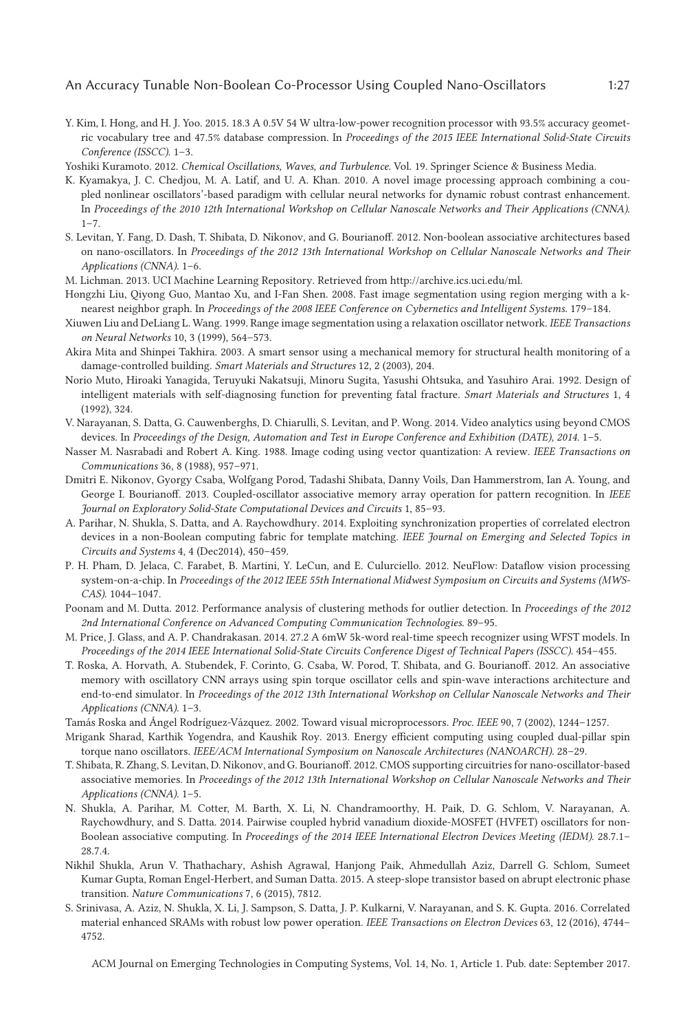### An Accuracy Tunable Non-Boolean Co-Processor Using Coupled Nano-Oscillators 1:27

- Y. Kim, I. Hong, and H. J. Yoo. 2015. 18.3 A 0.5V 54 W ultra-low-power recognition processor with 93.5% accuracy geometric vocabulary tree and 47.5% database compression. In Proceedings of the 2015 IEEE International Solid-State Circuits Conference (ISSCC). 1–3.
- Yoshiki Kuramoto. 2012. Chemical Oscillations, Waves, and Turbulence. Vol. 19. Springer Science & Business Media.
- K. Kyamakya, J. C. Chedjou, M. A. Latif, and U. A. Khan. 2010. A novel image processing approach combining a coupled nonlinear oscillators'-based paradigm with cellular neural networks for dynamic robust contrast enhancement. In Proceedings of the 2010 12th International Workshop on Cellular Nanoscale Networks and Their Applications (CNNA).  $1 - 7$ .
- S. Levitan, Y. Fang, D. Dash, T. Shibata, D. Nikonov, and G. Bourianoff. 2012. Non-boolean associative architectures based on nano-oscillators. In Proceedings of the 2012 13th International Workshop on Cellular Nanoscale Networks and Their Applications (CNNA). 1–6.
- M. Lichman. 2013. UCI Machine Learning Repository. Retrieved from http://archive.ics.uci.edu/ml.
- Hongzhi Liu, Qiyong Guo, Mantao Xu, and I-Fan Shen. 2008. Fast image segmentation using region merging with a knearest neighbor graph. In Proceedings of the 2008 IEEE Conference on Cybernetics and Intelligent Systems. 179–184.
- Xiuwen Liu and DeLiang L. Wang. 1999. Range image segmentation using a relaxation oscillator network. IEEE Transactions on Neural Networks 10, 3 (1999), 564–573.
- Akira Mita and Shinpei Takhira. 2003. A smart sensor using a mechanical memory for structural health monitoring of a damage-controlled building. Smart Materials and Structures 12, 2 (2003), 204.
- Norio Muto, Hiroaki Yanagida, Teruyuki Nakatsuji, Minoru Sugita, Yasushi Ohtsuka, and Yasuhiro Arai. 1992. Design of intelligent materials with self-diagnosing function for preventing fatal fracture. Smart Materials and Structures 1, 4 (1992), 324.
- V. Narayanan, S. Datta, G. Cauwenberghs, D. Chiarulli, S. Levitan, and P. Wong. 2014. Video analytics using beyond CMOS devices. In Proceedings of the Design, Automation and Test in Europe Conference and Exhibition (DATE), 2014. 1–5.
- Nasser M. Nasrabadi and Robert A. King. 1988. Image coding using vector quantization: A review. IEEE Transactions on Communications 36, 8 (1988), 957–971.
- Dmitri E. Nikonov, Gyorgy Csaba, Wolfgang Porod, Tadashi Shibata, Danny Voils, Dan Hammerstrom, Ian A. Young, and George I. Bourianoff. 2013. Coupled-oscillator associative memory array operation for pattern recognition. In IEEE Journal on Exploratory Solid-State Computational Devices and Circuits 1, 85–93.
- A. Parihar, N. Shukla, S. Datta, and A. Raychowdhury. 2014. Exploiting synchronization properties of correlated electron devices in a non-Boolean computing fabric for template matching. IEEE Journal on Emerging and Selected Topics in Circuits and Systems 4, 4 (Dec2014), 450–459.
- P. H. Pham, D. Jelaca, C. Farabet, B. Martini, Y. LeCun, and E. Culurciello. 2012. NeuFlow: Dataflow vision processing system-on-a-chip. In Proceedings of the 2012 IEEE 55th International Midwest Symposium on Circuits and Systems (MWS-CAS). 1044–1047.
- Poonam and M. Dutta. 2012. Performance analysis of clustering methods for outlier detection. In Proceedings of the 2012 2nd International Conference on Advanced Computing Communication Technologies. 89–95.
- M. Price, J. Glass, and A. P. Chandrakasan. 2014. 27.2 A 6mW 5k-word real-time speech recognizer using WFST models. In Proceedings of the 2014 IEEE International Solid-State Circuits Conference Digest of Technical Papers (ISSCC). 454–455.
- T. Roska, A. Horvath, A. Stubendek, F. Corinto, G. Csaba, W. Porod, T. Shibata, and G. Bourianoff. 2012. An associative memory with oscillatory CNN arrays using spin torque oscillator cells and spin-wave interactions architecture and end-to-end simulator. In Proceedings of the 2012 13th International Workshop on Cellular Nanoscale Networks and Their Applications (CNNA). 1–3.
- Tamás Roska and Ángel Rodríguez-Vázquez. 2002. Toward visual microprocessors. Proc. IEEE 90, 7 (2002), 1244–1257.
- Mrigank Sharad, Karthik Yogendra, and Kaushik Roy. 2013. Energy efficient computing using coupled dual-pillar spin torque nano oscillators. IEEE/ACM International Symposium on Nanoscale Architectures (NANOARCH). 28-29.
- T. Shibata, R. Zhang, S. Levitan, D. Nikonov, and G. Bourianoff. 2012. CMOS supporting circuitries for nano-oscillator-based associative memories. In Proceedings of the 2012 13th International Workshop on Cellular Nanoscale Networks and Their Applications (CNNA). 1–5.
- N. Shukla, A. Parihar, M. Cotter, M. Barth, X. Li, N. Chandramoorthy, H. Paik, D. G. Schlom, V. Narayanan, A. Raychowdhury, and S. Datta. 2014. Pairwise coupled hybrid vanadium dioxide-MOSFET (HVFET) oscillators for non-Boolean associative computing. In Proceedings of the 2014 IEEE International Electron Devices Meeting (IEDM). 28.7.1– 28.7.4.
- Nikhil Shukla, Arun V. Thathachary, Ashish Agrawal, Hanjong Paik, Ahmedullah Aziz, Darrell G. Schlom, Sumeet Kumar Gupta, Roman Engel-Herbert, and Suman Datta. 2015. A steep-slope transistor based on abrupt electronic phase transition. Nature Communications 7, 6 (2015), 7812.
- S. Srinivasa, A. Aziz, N. Shukla, X. Li, J. Sampson, S. Datta, J. P. Kulkarni, V. Narayanan, and S. K. Gupta. 2016. Correlated material enhanced SRAMs with robust low power operation. IEEE Transactions on Electron Devices 63, 12 (2016), 4744– 4752.